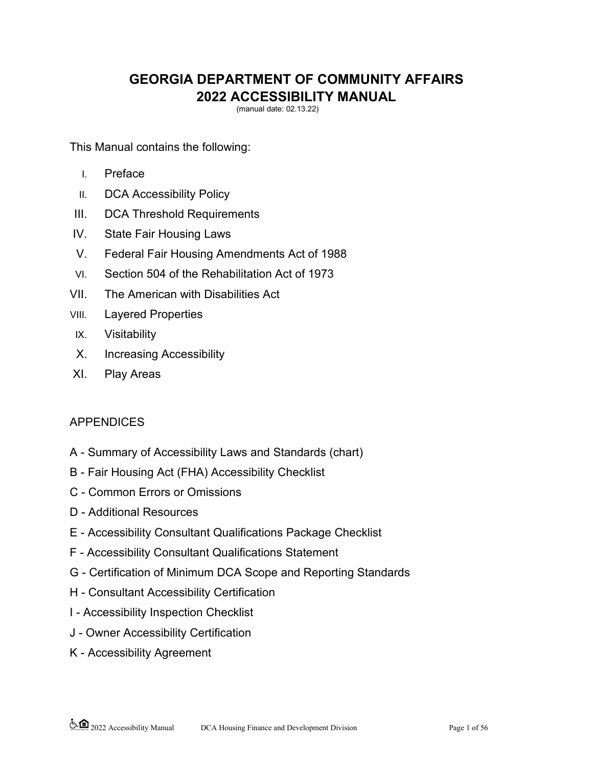# **GEORGIA DEPARTMENT OF COMMUNITY AFFAIRS <sup>2022</sup> ACCESSIBILITY MANUAL** (manual date: 02.13.22)

This Manual contains the following:

- I. Preface
- II. DCA Accessibility Policy
- III. DCA Threshold Requirements
- IV. State Fair Housing Laws
- V. Federal Fair Housing Amendments Act of 1988
- VI. Section 504 of the Rehabilitation Act of 1973
- VII. The American with Disabilities Act
- VIII. Layered Properties
- IX. Visitability
- X. Increasing Accessibility
- XI. Play Areas

# APPENDICES

- A Summary of Accessibility Laws and Standards (chart)
- B Fair Housing Act (FHA) Accessibility Checklist
- C Common Errors or Omissions
- D Additional Resources
- E Accessibility Consultant Qualifications Package Checklist
- F Accessibility Consultant Qualifications Statement
- G Certification of Minimum DCA Scope and Reporting Standards
- H Consultant Accessibility Certification
- I Accessibility Inspection Checklist
- J Owner Accessibility Certification
- K Accessibility Agreement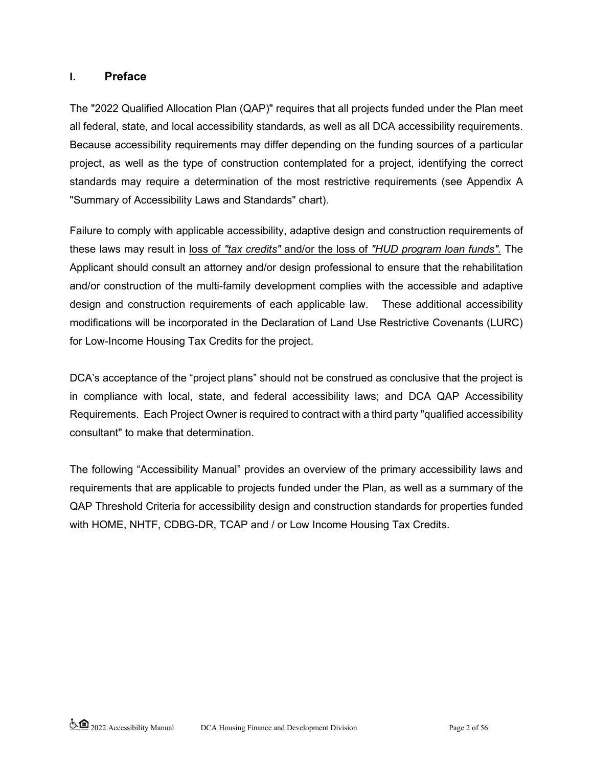### **I. Preface**

The "2022 Qualified Allocation Plan (QAP)" requires that all projects funded under the Plan meet all federal, state, and local accessibility standards, as well as all DCA accessibility requirements. Because accessibility requirements may differ depending on the funding sources of a particular project, as well as the type of construction contemplated for a project, identifying the correct standards may require a determination of the most restrictive requirements (see Appendix A "Summary of Accessibility Laws and Standards" chart).

Failure to comply with applicable accessibility, adaptive design and construction requirements of these laws may result in loss of *"tax credits"* and/or the loss of *"HUD program loan funds".* The Applicant should consult an attorney and/or design professional to ensure that the rehabilitation and/or construction of the multi-family development complies with the accessible and adaptive design and construction requirements of each applicable law. These additional accessibility modifications will be incorporated in the Declaration of Land Use Restrictive Covenants (LURC) for Low-Income Housing Tax Credits for the project.

DCA's acceptance of the "project plans" should not be construed as conclusive that the project is in compliance with local, state, and federal accessibility laws; and DCA QAP Accessibility Requirements. Each Project Owner is required to contract with a third party "qualified accessibility consultant" to make that determination.

The following "Accessibility Manual" provides an overview of the primary accessibility laws and requirements that are applicable to projects funded under the Plan, as well as a summary of the QAP Threshold Criteria for accessibility design and construction standards for properties funded with HOME, NHTF, CDBG-DR, TCAP and / or Low Income Housing Tax Credits.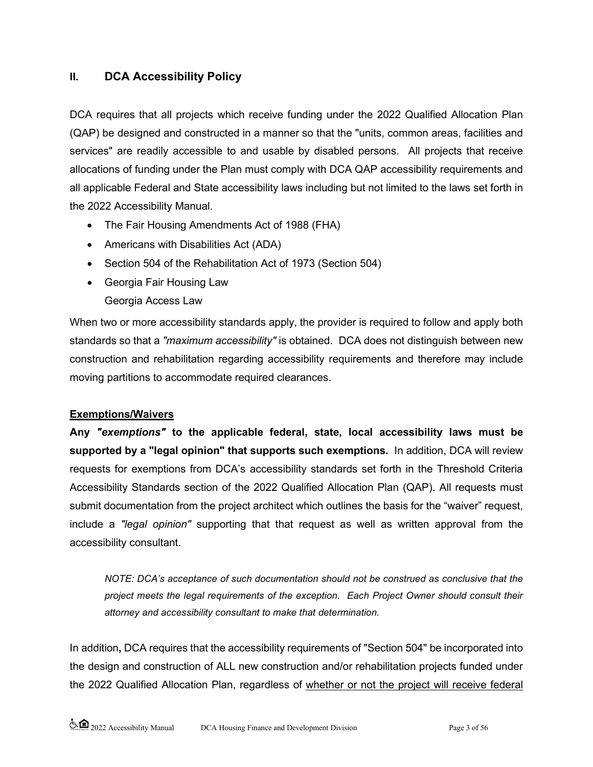## **II. DCA Accessibility Policy**

DCA requires that all projects which receive funding under the 2022 Qualified Allocation Plan (QAP) be designed and constructed in a manner so that the "units, common areas, facilities and services" are readily accessible to and usable by disabled persons. All projects that receive allocations of funding under the Plan must comply with DCA QAP accessibility requirements and all applicable Federal and State accessibility laws including but not limited to the laws set forth in the 2022 Accessibility Manual.

- The Fair Housing Amendments Act of 1988 (FHA)
- Americans with Disabilities Act (ADA)
- Section 504 of the Rehabilitation Act of 1973 (Section 504)
- Georgia Fair Housing Law
	- Georgia Access Law

When two or more accessibility standards apply, the provider is required to follow and apply both standards so that a *"maximum accessibility"* is obtained. DCA does not distinguish between new construction and rehabilitation regarding accessibility requirements and therefore may include moving partitions to accommodate required clearances.

#### **Exemptions/Waivers**

**Any** *"exemptions"* **to the applicable federal, state, local accessibility laws must be supported by a "legal opinion" that supports such exemptions.** In addition, DCA will review requests for exemptions from DCA's accessibility standards set forth in the Threshold Criteria Accessibility Standards section of the 2022 Qualified Allocation Plan (QAP). All requests must submit documentation from the project architect which outlines the basis for the "waiver" request, include a *"legal opinion"* supporting that that request as well as written approval from the accessibility consultant.

*NOTE: DCA's acceptance of such documentation should not be construed as conclusive that the project meets the legal requirements of the exception. Each Project Owner should consult their attorney and accessibility consultant to make that determination.*

In addition**,** DCA requires that the accessibility requirements of "Section 504" be incorporated into the design and construction of ALL new construction and/or rehabilitation projects funded under the 2022 Qualified Allocation Plan, regardless of whether or not the project will receive federal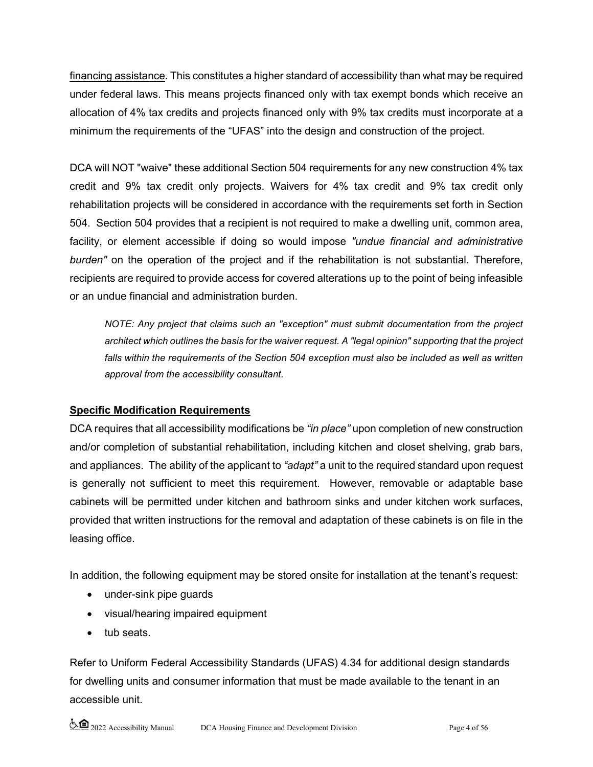financing assistance. This constitutes a higher standard of accessibility than what may be required under federal laws. This means projects financed only with tax exempt bonds which receive an allocation of 4% tax credits and projects financed only with 9% tax credits must incorporate at a minimum the requirements of the "UFAS" into the design and construction of the project.

DCA will NOT "waive" these additional Section 504 requirements for any new construction 4% tax credit and 9% tax credit only projects. Waivers for 4% tax credit and 9% tax credit only rehabilitation projects will be considered in accordance with the requirements set forth in Section 504. Section 504 provides that a recipient is not required to make a dwelling unit, common area, facility, or element accessible if doing so would impose *"undue financial and administrative burden"* on the operation of the project and if the rehabilitation is not substantial. Therefore, recipients are required to provide access for covered alterations up to the point of being infeasible or an undue financial and administration burden.

*NOTE: Any project that claims such an "exception" must submit documentation from the project architect which outlines the basis for the waiver request. A "legal opinion" supporting that the project falls within the requirements of the Section 504 exception must also be included as well as written approval from the accessibility consultant.*

# **Specific Modification Requirements**

DCA requires that all accessibility modifications be *"in place"* upon completion of new construction and/or completion of substantial rehabilitation, including kitchen and closet shelving, grab bars, and appliances. The ability of the applicant to *"adapt"* a unit to the required standard upon request is generally not sufficient to meet this requirement. However, removable or adaptable base cabinets will be permitted under kitchen and bathroom sinks and under kitchen work surfaces, provided that written instructions for the removal and adaptation of these cabinets is on file in the leasing office.

In addition, the following equipment may be stored onsite for installation at the tenant's request:

- under-sink pipe guards
- visual/hearing impaired equipment
- tub seats.

Refer to Uniform Federal Accessibility Standards (UFAS) 4.34 for additional design standards for dwelling units and consumer information that must be made available to the tenant in an accessible unit.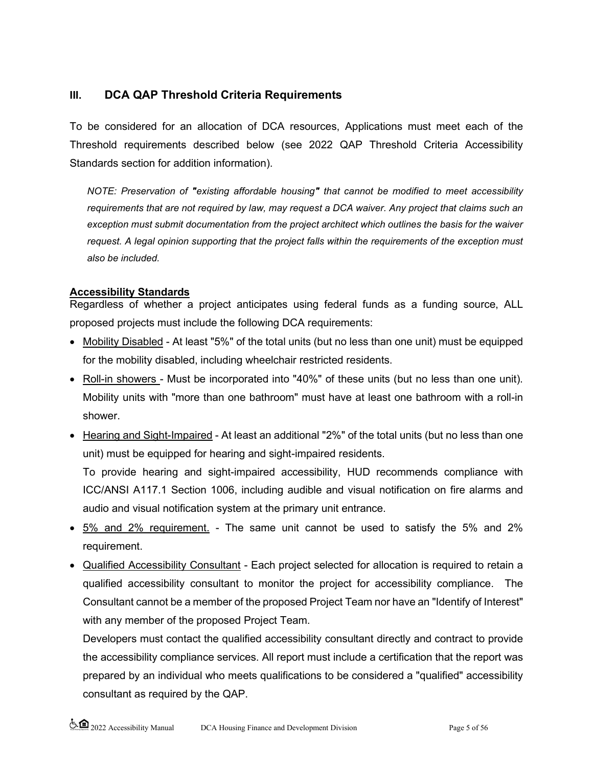## **III. DCA QAP Threshold Criteria Requirements**

To be considered for an allocation of DCA resources, Applications must meet each of the Threshold requirements described below (see 2022 QAP Threshold Criteria Accessibility Standards section for addition information).

*NOTE: Preservation of "existing affordable housing" that cannot be modified to meet accessibility requirements that are not required by law, may request a DCA waiver. Any project that claims such an exception must submit documentation from the project architect which outlines the basis for the waiver request. A legal opinion supporting that the project falls within the requirements of the exception must also be included.*

### **Accessibility Standards**

Regardless of whether a project anticipates using federal funds as a funding source, ALL proposed projects must include the following DCA requirements:

- Mobility Disabled At least "5%" of the total units (but no less than one unit) must be equipped for the mobility disabled, including wheelchair restricted residents.
- Roll-in showers Must be incorporated into "40%" of these units (but no less than one unit). Mobility units with "more than one bathroom" must have at least one bathroom with a roll-in shower.
- Hearing and Sight-Impaired At least an additional "2%" of the total units (but no less than one unit) must be equipped for hearing and sight-impaired residents.

To provide hearing and sight-impaired accessibility, HUD recommends compliance with ICC/ANSI A117.1 Section 1006, including audible and visual notification on fire alarms and audio and visual notification system at the primary unit entrance.

- 5% and 2% requirement. The same unit cannot be used to satisfy the 5% and 2% requirement.
- Qualified Accessibility Consultant Each project selected for allocation is required to retain a qualified accessibility consultant to monitor the project for accessibility compliance. The Consultant cannot be a member of the proposed Project Team nor have an "Identify of Interest" with any member of the proposed Project Team.

Developers must contact the qualified accessibility consultant directly and contract to provide the accessibility compliance services. All report must include a certification that the report was prepared by an individual who meets qualifications to be considered a "qualified" accessibility consultant as required by the QAP.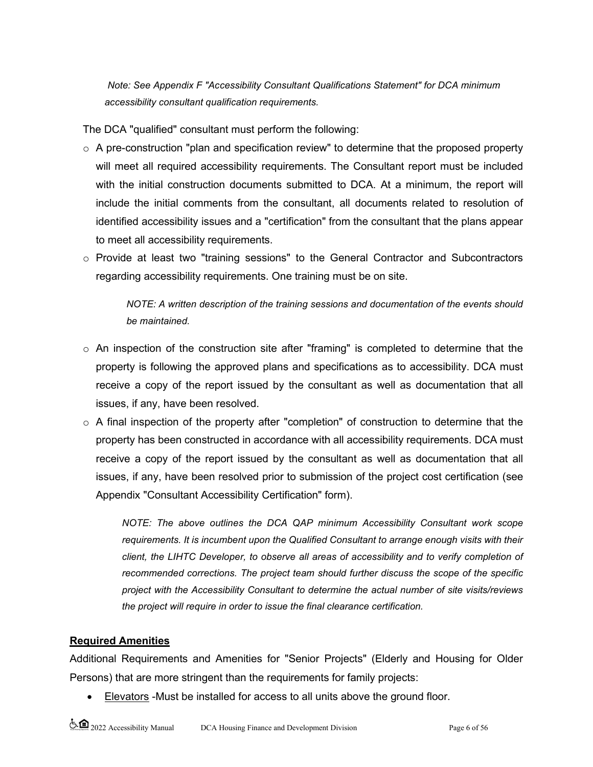*Note: See Appendix F "Accessibility Consultant Qualifications Statement" for DCA minimum accessibility consultant qualification requirements.*

The DCA "qualified" consultant must perform the following:

- $\circ$  A pre-construction "plan and specification review" to determine that the proposed property will meet all required accessibility requirements. The Consultant report must be included with the initial construction documents submitted to DCA. At a minimum, the report will include the initial comments from the consultant, all documents related to resolution of identified accessibility issues and a "certification" from the consultant that the plans appear to meet all accessibility requirements.
- o Provide at least two "training sessions" to the General Contractor and Subcontractors regarding accessibility requirements. One training must be on site.

*NOTE: A written description of the training sessions and documentation of the events should be maintained.* 

- $\circ$  An inspection of the construction site after "framing" is completed to determine that the property is following the approved plans and specifications as to accessibility. DCA must receive a copy of the report issued by the consultant as well as documentation that all issues, if any, have been resolved.
- $\circ$  A final inspection of the property after "completion" of construction to determine that the property has been constructed in accordance with all accessibility requirements. DCA must receive a copy of the report issued by the consultant as well as documentation that all issues, if any, have been resolved prior to submission of the project cost certification (see Appendix "Consultant Accessibility Certification" form).

*NOTE: The above outlines the DCA QAP minimum Accessibility Consultant work scope requirements. It is incumbent upon the Qualified Consultant to arrange enough visits with their client, the LIHTC Developer, to observe all areas of accessibility and to verify completion of recommended corrections. The project team should further discuss the scope of the specific project with the Accessibility Consultant to determine the actual number of site visits/reviews the project will require in order to issue the final clearance certification.*

#### **Required Amenities**

Additional Requirements and Amenities for "Senior Projects" (Elderly and Housing for Older Persons) that are more stringent than the requirements for family projects:

• Elevators -Must be installed for access to all units above the ground floor.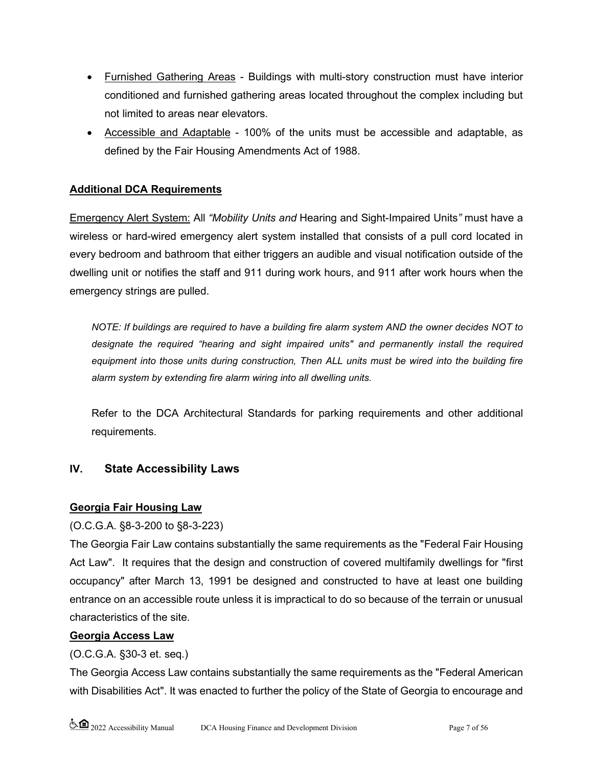- Furnished Gathering Areas Buildings with multi-story construction must have interior conditioned and furnished gathering areas located throughout the complex including but not limited to areas near elevators.
- Accessible and Adaptable 100% of the units must be accessible and adaptable, as defined by the Fair Housing Amendments Act of 1988.

### **Additional DCA Requirements**

Emergency Alert System: All *"Mobility Units and* Hearing and Sight-Impaired Units*"* must have a wireless or hard-wired emergency alert system installed that consists of a pull cord located in every bedroom and bathroom that either triggers an audible and visual notification outside of the dwelling unit or notifies the staff and 911 during work hours, and 911 after work hours when the emergency strings are pulled.

*NOTE: If buildings are required to have a building fire alarm system AND the owner decides NOT to designate the required "hearing and sight impaired units" and permanently install the required equipment into those units during construction, Then ALL units must be wired into the building fire alarm system by extending fire alarm wiring into all dwelling units.*

Refer to the DCA Architectural Standards for parking requirements and other additional requirements.

### **IV. State Accessibility Laws**

### **Georgia Fair Housing Law**

### (O.C.G.A. §8-3-200 to §8-3-223)

The Georgia Fair Law contains substantially the same requirements as the "Federal Fair Housing Act Law". It requires that the design and construction of covered multifamily dwellings for "first occupancy" after March 13, 1991 be designed and constructed to have at least one building entrance on an accessible route unless it is impractical to do so because of the terrain or unusual characteristics of the site.

### **Georgia Access Law**

### (O.C.G.A. §30-3 et. seq.)

The Georgia Access Law contains substantially the same requirements as the "Federal American with Disabilities Act". It was enacted to further the policy of the State of Georgia to encourage and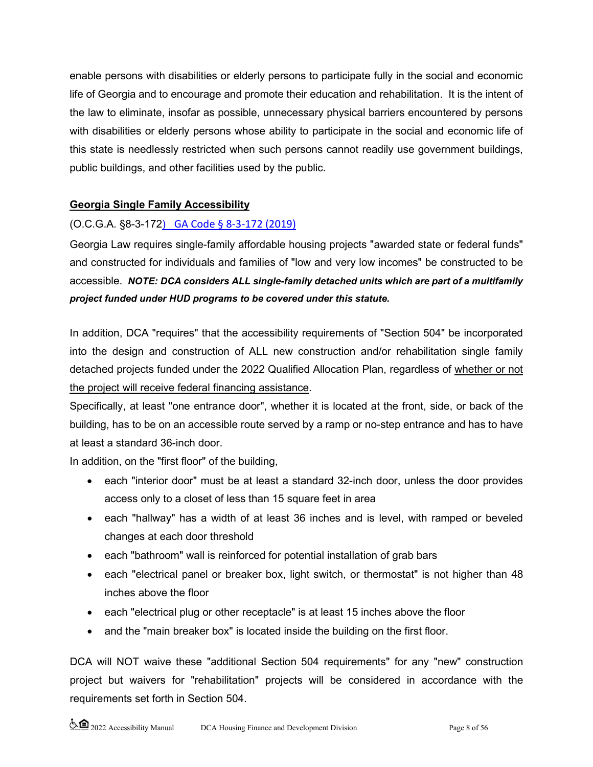enable persons with disabilities or elderly persons to participate fully in the social and economic life of Georgia and to encourage and promote their education and rehabilitation. It is the intent of the law to eliminate, insofar as possible, unnecessary physical barriers encountered by persons with disabilities or elderly persons whose ability to participate in the social and economic life of this state is needlessly restricted when such persons cannot readily use government buildings, public buildings, and other facilities used by the public.

## **Georgia Single Family Accessibility**

### (O.C.G.A. §8-3-172) [GA Code § 8-3-172 \(2019\)](https://law.justia.com/codes/georgia/2019/title-8/chapter-3/article-3/section-8-3-172/)

Georgia Law requires single-family affordable housing projects "awarded state or federal funds" and constructed for individuals and families of "low and very low incomes" be constructed to be accessible. *NOTE: DCA considers ALL single-family detached units which are part of a multifamily project funded under HUD programs to be covered under this statute.*

In addition, DCA "requires" that the accessibility requirements of "Section 504" be incorporated into the design and construction of ALL new construction and/or rehabilitation single family detached projects funded under the 2022 Qualified Allocation Plan, regardless of whether or not the project will receive federal financing assistance.

Specifically, at least "one entrance door", whether it is located at the front, side, or back of the building, has to be on an accessible route served by a ramp or no-step entrance and has to have at least a standard 36-inch door.

In addition, on the "first floor" of the building,

- each "interior door" must be at least a standard 32-inch door, unless the door provides access only to a closet of less than 15 square feet in area
- each "hallway" has a width of at least 36 inches and is level, with ramped or beveled changes at each door threshold
- each "bathroom" wall is reinforced for potential installation of grab bars
- each "electrical panel or breaker box, light switch, or thermostat" is not higher than 48 inches above the floor
- each "electrical plug or other receptacle" is at least 15 inches above the floor
- and the "main breaker box" is located inside the building on the first floor.

DCA will NOT waive these "additional Section 504 requirements" for any "new" construction project but waivers for "rehabilitation" projects will be considered in accordance with the requirements set forth in Section 504.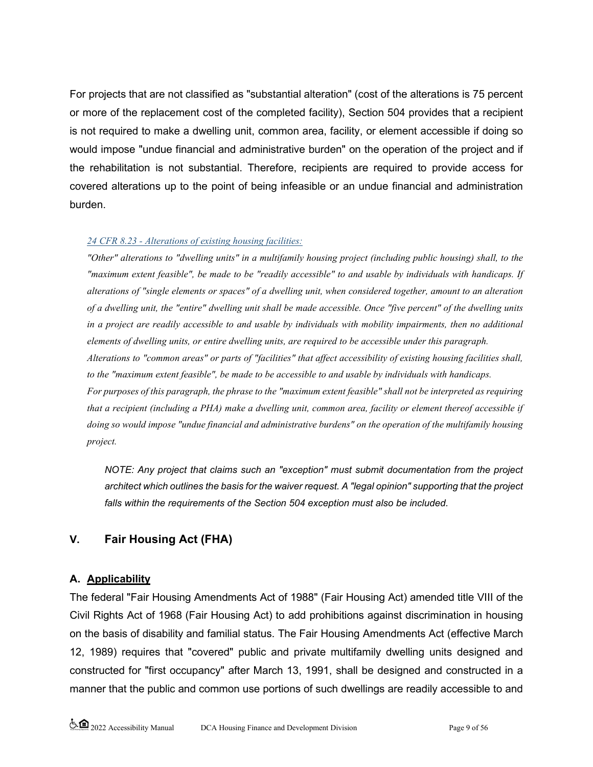For projects that are not classified as "substantial alteration" (cost of the alterations is 75 percent or more of the replacement cost of the completed facility), Section 504 provides that a recipient is not required to make a dwelling unit, common area, facility, or element accessible if doing so would impose "undue financial and administrative burden" on the operation of the project and if the rehabilitation is not substantial. Therefore, recipients are required to provide access for covered alterations up to the point of being infeasible or an undue financial and administration burden.

#### *24 CFR 8.23 - Alterations of existing housing facilities:*

*"Other" alterations to "dwelling units" in a multifamily housing project (including public housing) shall, to the "maximum extent feasible", be made to be "readily accessible" to and usable by individuals with handicaps. If alterations of "single elements or spaces" of a dwelling unit, when considered together, amount to an alteration of a dwelling unit, the "entire" dwelling unit shall be made accessible. Once "five percent" of the dwelling units in a project are readily accessible to and usable by individuals with mobility impairments, then no additional elements of dwelling units, or entire dwelling units, are required to be accessible under this paragraph. Alterations to "common areas" or parts of "facilities" that affect accessibility of existing housing facilities shall, to the "maximum extent feasible", be made to be accessible to and usable by individuals with handicaps. For purposes of this paragraph, the phrase to the "maximum extent feasible" shall not be interpreted as requiring that a recipient (including a PHA) make a dwelling unit, common area, facility or element thereof accessible if* 

*doing so would impose "undue financial and administrative burdens" on the operation of the multifamily housing project.*

*NOTE: Any project that claims such an "exception" must submit documentation from the project architect which outlines the basis for the waiver request. A "legal opinion" supporting that the project falls within the requirements of the Section 504 exception must also be included.*

# **V. Fair Housing Act (FHA)**

### **A. Applicability**

The federal "Fair Housing Amendments Act of 1988" (Fair Housing Act) amended title VIII of the Civil Rights Act of 1968 (Fair Housing Act) to add prohibitions against discrimination in housing on the basis of disability and familial status. The Fair Housing Amendments Act (effective March 12, 1989) requires that "covered" public and private multifamily dwelling units designed and constructed for "first occupancy" after March 13, 1991, shall be designed and constructed in a manner that the public and common use portions of such dwellings are readily accessible to and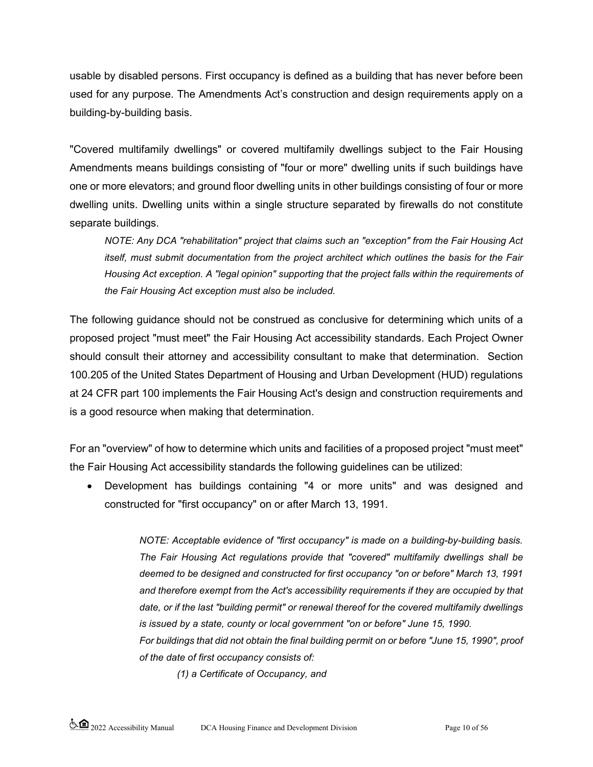usable by disabled persons. First occupancy is defined as a building that has never before been used for any purpose. The Amendments Act's construction and design requirements apply on a building-by-building basis.

"Covered multifamily dwellings" or covered multifamily dwellings subject to the Fair Housing Amendments means buildings consisting of "four or more" dwelling units if such buildings have one or more elevators; and ground floor dwelling units in other buildings consisting of four or more dwelling units. Dwelling units within a single structure separated by firewalls do not constitute separate buildings.

*NOTE: Any DCA "rehabilitation" project that claims such an "exception" from the Fair Housing Act itself, must submit documentation from the project architect which outlines the basis for the Fair Housing Act exception. A "legal opinion" supporting that the project falls within the requirements of the Fair Housing Act exception must also be included.*

The following guidance should not be construed as conclusive for determining which units of a proposed project "must meet" the Fair Housing Act accessibility standards. Each Project Owner should consult their attorney and accessibility consultant to make that determination. Section 100.205 of the United States Department of Housing and Urban Development (HUD) regulations at 24 CFR part 100 implements the Fair Housing Act's design and construction requirements and is a good resource when making that determination.

For an "overview" of how to determine which units and facilities of a proposed project "must meet" the Fair Housing Act accessibility standards the following guidelines can be utilized:

• Development has buildings containing "4 or more units" and was designed and constructed for "first occupancy" on or after March 13, 1991.

> *NOTE: Acceptable evidence of "first occupancy" is made on a building-by-building basis. The Fair Housing Act regulations provide that "covered" multifamily dwellings shall be deemed to be designed and constructed for first occupancy "on or before" March 13, 1991 and therefore exempt from the Act's accessibility requirements if they are occupied by that date, or if the last "building permit" or renewal thereof for the covered multifamily dwellings is issued by a state, county or local government "on or before" June 15, 1990.*

> *For buildings that did not obtain the final building permit on or before "June 15, 1990", proof of the date of first occupancy consists of:*

*(1) a Certificate of Occupancy, and*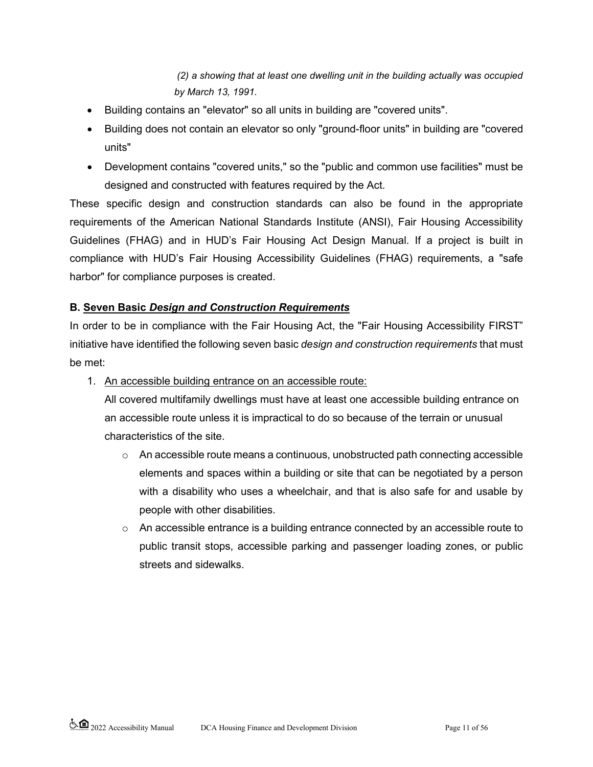*(2) a showing that at least one dwelling unit in the building actually was occupied by March 13, 1991*.

- Building contains an "elevator" so all units in building are "covered units".
- Building does not contain an elevator so only "ground-floor units" in building are "covered units"
- Development contains "covered units," so the "public and common use facilities" must be designed and constructed with features required by the Act.

These specific design and construction standards can also be found in the appropriate requirements of the American National Standards Institute (ANSI), Fair Housing Accessibility Guidelines (FHAG) and in HUD's Fair Housing Act Design Manual. If a project is built in compliance with HUD's Fair Housing Accessibility Guidelines (FHAG) requirements, a "safe harbor" for compliance purposes is created.

## **B. Seven Basic** *Design and Construction Requirements*

In order to be in compliance with the Fair Housing Act, the "Fair Housing Accessibility FIRST" initiative have identified the following seven basic *design and construction requirements* that must be met:

1. An accessible building entrance on an accessible route:

All covered multifamily dwellings must have at least one accessible building entrance on an accessible route unless it is impractical to do so because of the terrain or unusual characteristics of the site.

- $\circ$  An accessible route means a continuous, unobstructed path connecting accessible elements and spaces within a building or site that can be negotiated by a person with a disability who uses a wheelchair, and that is also safe for and usable by people with other disabilities.
- $\circ$  An accessible entrance is a building entrance connected by an accessible route to public transit stops, accessible parking and passenger loading zones, or public streets and sidewalks.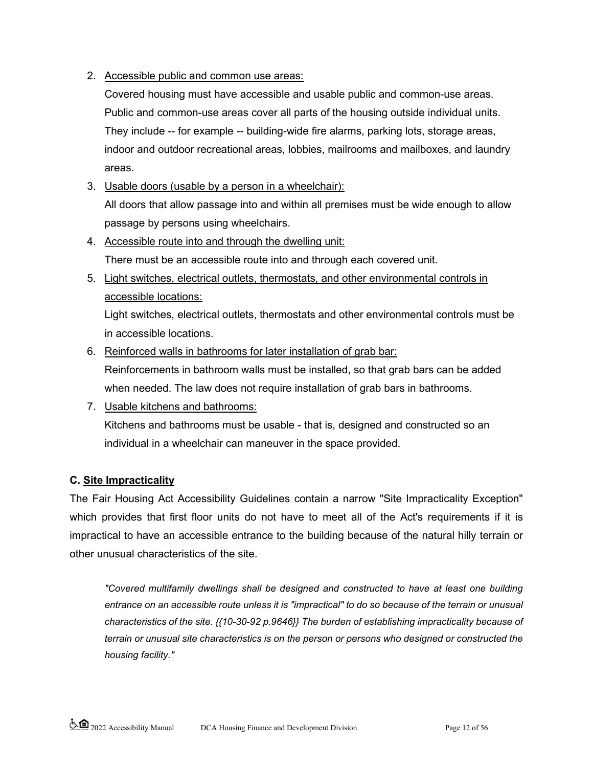### 2. Accessible public and common use areas:

Covered housing must have accessible and usable public and common-use areas. Public and common-use areas cover all parts of the housing outside individual units. They include -- for example -- building-wide fire alarms, parking lots, storage areas, indoor and outdoor recreational areas, lobbies, mailrooms and mailboxes, and laundry areas.

- 3. Usable doors (usable by a person in a wheelchair): All doors that allow passage into and within all premises must be wide enough to allow passage by persons using wheelchairs.
- 4. Accessible route into and through the dwelling unit: There must be an accessible route into and through each covered unit.
- 5. Light switches, electrical outlets, thermostats, and other environmental controls in accessible locations:

Light switches, electrical outlets, thermostats and other environmental controls must be in accessible locations.

- 6. Reinforced walls in bathrooms for later installation of grab bar: Reinforcements in bathroom walls must be installed, so that grab bars can be added when needed. The law does not require installation of grab bars in bathrooms.
- 7. Usable kitchens and bathrooms: Kitchens and bathrooms must be usable - that is, designed and constructed so an individual in a wheelchair can maneuver in the space provided.

### **C. Site Impracticality**

The Fair Housing Act Accessibility Guidelines contain a narrow "Site Impracticality Exception" which provides that first floor units do not have to meet all of the Act's requirements if it is impractical to have an accessible entrance to the building because of the natural hilly terrain or other unusual characteristics of the site.

*"Covered multifamily dwellings shall be designed and constructed to have at least one building entrance on an accessible route unless it is "impractical" to do so because of the terrain or unusual characteristics of the site. {{10-30-92 p.9646}} The burden of establishing impracticality because of terrain or unusual site characteristics is on the person or persons who designed or constructed the housing facility."*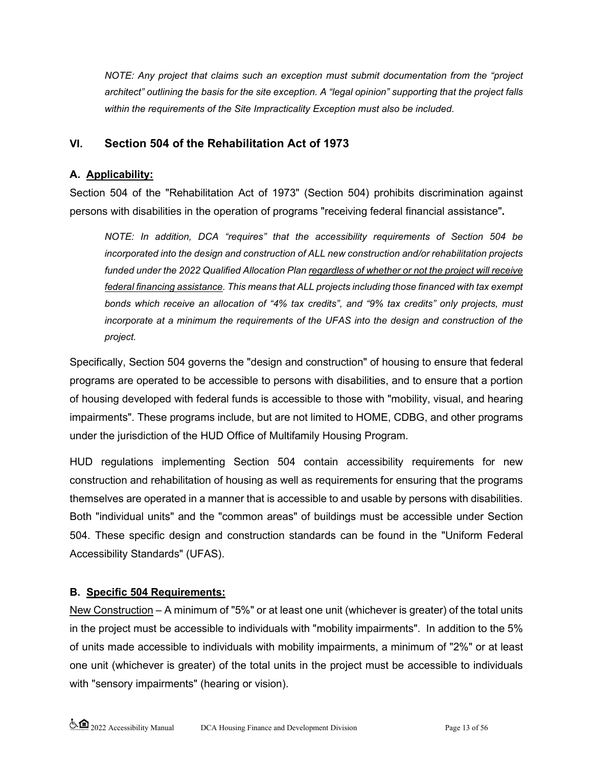*NOTE: Any project that claims such an exception must submit documentation from the "project architect" outlining the basis for the site exception. A "legal opinion" supporting that the project falls within the requirements of the Site Impracticality Exception must also be included.*

## **VI. Section 504 of the Rehabilitation Act of 1973**

### **A. Applicability:**

Section 504 of the "Rehabilitation Act of 1973" (Section 504) prohibits discrimination against persons with disabilities in the operation of programs "receiving federal financial assistance"**.**

*NOTE: In addition, DCA "requires" that the accessibility requirements of Section 504 be incorporated into the design and construction of ALL new construction and/or rehabilitation projects funded under the 2022 Qualified Allocation Plan regardless of whether or not the project will receive federal financing assistance. This means that ALL projects including those financed with tax exempt bonds which receive an allocation of "4% tax credits", and "9% tax credits" only projects, must incorporate at a minimum the requirements of the UFAS into the design and construction of the project.*

Specifically, Section 504 governs the "design and construction" of housing to ensure that federal programs are operated to be accessible to persons with disabilities, and to ensure that a portion of housing developed with federal funds is accessible to those with "mobility, visual, and hearing impairments". These programs include, but are not limited to HOME, CDBG, and other programs under the jurisdiction of the HUD Office of Multifamily Housing Program.

HUD regulations implementing Section 504 contain accessibility requirements for new construction and rehabilitation of housing as well as requirements for ensuring that the programs themselves are operated in a manner that is accessible to and usable by persons with disabilities. Both "individual units" and the "common areas" of buildings must be accessible under Section 504. These specific design and construction standards can be found in the "Uniform Federal Accessibility Standards" (UFAS).

### **B. Specific 504 Requirements:**

New Construction – A minimum of "5%" or at least one unit (whichever is greater) of the total units in the project must be accessible to individuals with "mobility impairments". In addition to the 5% of units made accessible to individuals with mobility impairments, a minimum of "2%" or at least one unit (whichever is greater) of the total units in the project must be accessible to individuals with "sensory impairments" (hearing or vision).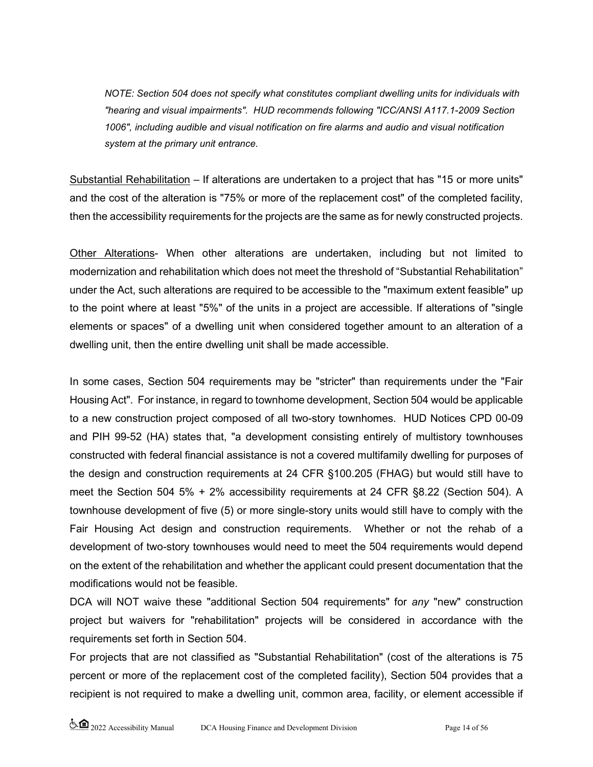*NOTE: Section 504 does not specify what constitutes compliant dwelling units for individuals with "hearing and visual impairments". HUD recommends following "ICC/ANSI A117.1-2009 Section 1006", including audible and visual notification on fire alarms and audio and visual notification system at the primary unit entrance.*

Substantial Rehabilitation – If alterations are undertaken to a project that has "15 or more units" and the cost of the alteration is "75% or more of the replacement cost" of the completed facility, then the accessibility requirements for the projects are the same as for newly constructed projects.

Other Alterations- When other alterations are undertaken, including but not limited to modernization and rehabilitation which does not meet the threshold of "Substantial Rehabilitation" under the Act, such alterations are required to be accessible to the "maximum extent feasible" up to the point where at least "5%" of the units in a project are accessible. If alterations of "single elements or spaces" of a dwelling unit when considered together amount to an alteration of a dwelling unit, then the entire dwelling unit shall be made accessible.

In some cases, Section 504 requirements may be "stricter" than requirements under the "Fair Housing Act". For instance, in regard to townhome development, Section 504 would be applicable to a new construction project composed of all two-story townhomes. HUD Notices CPD 00-09 and PIH 99-52 (HA) states that, "a development consisting entirely of multistory townhouses constructed with federal financial assistance is not a covered multifamily dwelling for purposes of the design and construction requirements at 24 CFR §100.205 (FHAG) but would still have to meet the Section 504 5% + 2% accessibility requirements at 24 CFR §8.22 (Section 504). A townhouse development of five (5) or more single-story units would still have to comply with the Fair Housing Act design and construction requirements. Whether or not the rehab of a development of two-story townhouses would need to meet the 504 requirements would depend on the extent of the rehabilitation and whether the applicant could present documentation that the modifications would not be feasible.

DCA will NOT waive these "additional Section 504 requirements" for *any* "new" construction project but waivers for "rehabilitation" projects will be considered in accordance with the requirements set forth in Section 504.

For projects that are not classified as "Substantial Rehabilitation" (cost of the alterations is 75 percent or more of the replacement cost of the completed facility), Section 504 provides that a recipient is not required to make a dwelling unit, common area, facility, or element accessible if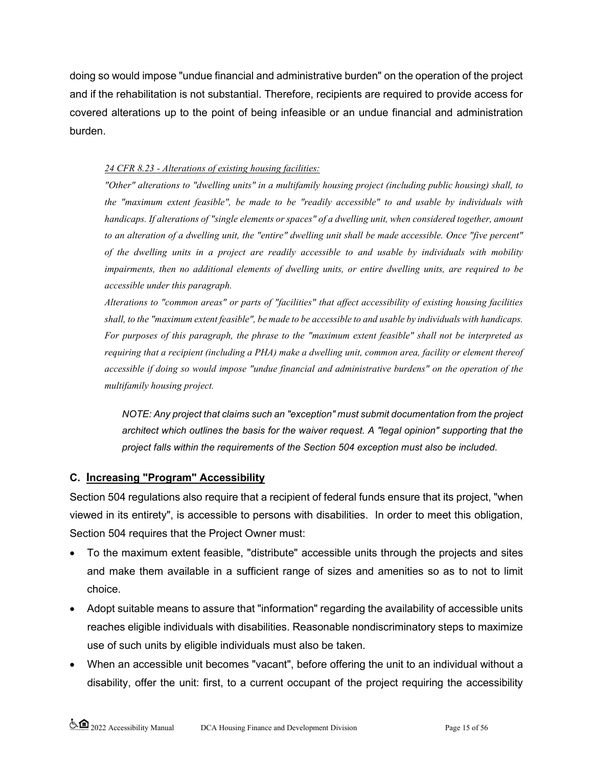doing so would impose "undue financial and administrative burden" on the operation of the project and if the rehabilitation is not substantial. Therefore, recipients are required to provide access for covered alterations up to the point of being infeasible or an undue financial and administration burden.

#### *24 CFR 8.23 - Alterations of existing housing facilities:*

*"Other" alterations to "dwelling units" in a multifamily housing project (including public housing) shall, to the "maximum extent feasible", be made to be "readily accessible" to and usable by individuals with*  handicaps. If alterations of "single elements or spaces" of a dwelling unit, when considered together, amount *to an alteration of a dwelling unit, the "entire" dwelling unit shall be made accessible. Once "five percent" of the dwelling units in a project are readily accessible to and usable by individuals with mobility impairments, then no additional elements of dwelling units, or entire dwelling units, are required to be accessible under this paragraph.* 

*Alterations to "common areas" or parts of "facilities" that affect accessibility of existing housing facilities shall, to the "maximum extent feasible", be made to be accessible to and usable by individuals with handicaps. For purposes of this paragraph, the phrase to the "maximum extent feasible" shall not be interpreted as requiring that a recipient (including a PHA) make a dwelling unit, common area, facility or element thereof accessible if doing so would impose "undue financial and administrative burdens" on the operation of the multifamily housing project.*

*NOTE: Any project that claims such an "exception" must submit documentation from the project architect which outlines the basis for the waiver request. A "legal opinion" supporting that the project falls within the requirements of the Section 504 exception must also be included.* 

#### **C. Increasing "Program" Accessibility**

Section 504 regulations also require that a recipient of federal funds ensure that its project, "when viewed in its entirety", is accessible to persons with disabilities. In order to meet this obligation, Section 504 requires that the Project Owner must:

- To the maximum extent feasible, "distribute" accessible units through the projects and sites and make them available in a sufficient range of sizes and amenities so as to not to limit choice.
- Adopt suitable means to assure that "information" regarding the availability of accessible units reaches eligible individuals with disabilities. Reasonable nondiscriminatory steps to maximize use of such units by eligible individuals must also be taken.
- When an accessible unit becomes "vacant", before offering the unit to an individual without a disability, offer the unit: first, to a current occupant of the project requiring the accessibility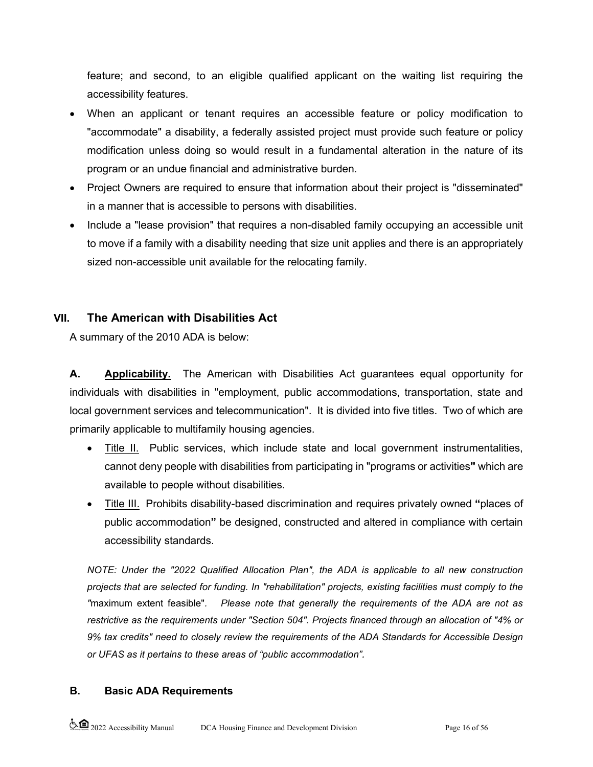feature; and second, to an eligible qualified applicant on the waiting list requiring the accessibility features.

- When an applicant or tenant requires an accessible feature or policy modification to "accommodate" a disability, a federally assisted project must provide such feature or policy modification unless doing so would result in a fundamental alteration in the nature of its program or an undue financial and administrative burden.
- Project Owners are required to ensure that information about their project is "disseminated" in a manner that is accessible to persons with disabilities.
- Include a "lease provision" that requires a non-disabled family occupying an accessible unit to move if a family with a disability needing that size unit applies and there is an appropriately sized non-accessible unit available for the relocating family.

# **VII. The American with Disabilities Act**

A summary of the 2010 ADA is below:

**A. Applicability.** The American with Disabilities Act guarantees equal opportunity for individuals with disabilities in "employment, public accommodations, transportation, state and local government services and telecommunication". It is divided into five titles. Two of which are primarily applicable to multifamily housing agencies.

- Title II. Public services, which include state and local government instrumentalities, cannot deny people with disabilities from participating in "programs or activities**"** which are available to people without disabilities.
- Title III.Prohibits disability-based discrimination and requires privately owned **"**places of public accommodation**"** be designed, constructed and altered in compliance with certain accessibility standards.

*NOTE: Under the "2022 Qualified Allocation Plan", the ADA is applicable to all new construction projects that are selected for funding. In "rehabilitation" projects, existing facilities must comply to the "*maximum extent feasible"*. Please note that generally the requirements of the ADA are not as restrictive as the requirements under "Section 504". Projects financed through an allocation of "4% or 9% tax credits" need to closely review the requirements of the ADA Standards for Accessible Design or UFAS as it pertains to these areas of "public accommodation".* 

### **B. Basic ADA Requirements**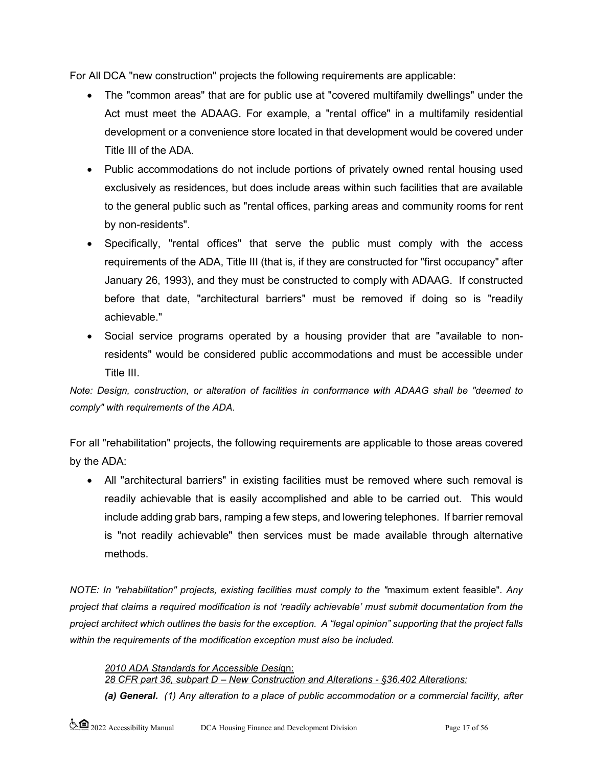For All DCA "new construction" projects the following requirements are applicable:

- The "common areas" that are for public use at "covered multifamily dwellings" under the Act must meet the ADAAG. For example, a "rental office" in a multifamily residential development or a convenience store located in that development would be covered under Title III of the ADA.
- Public accommodations do not include portions of privately owned rental housing used exclusively as residences, but does include areas within such facilities that are available to the general public such as "rental offices, parking areas and community rooms for rent by non-residents".
- Specifically, "rental offices" that serve the public must comply with the access requirements of the ADA, Title III (that is, if they are constructed for "first occupancy" after January 26, 1993), and they must be constructed to comply with ADAAG. If constructed before that date, "architectural barriers" must be removed if doing so is "readily achievable."
- Social service programs operated by a housing provider that are "available to nonresidents" would be considered public accommodations and must be accessible under Title III.

*Note: Design, construction, or alteration of facilities in conformance with ADAAG shall be "deemed to comply" with requirements of the ADA.*

For all "rehabilitation" projects, the following requirements are applicable to those areas covered by the ADA:

• All "architectural barriers" in existing facilities must be removed where such removal is readily achievable that is easily accomplished and able to be carried out. This would include adding grab bars, ramping a few steps, and lowering telephones. If barrier removal is "not readily achievable" then services must be made available through alternative methods.

*NOTE: In "rehabilitation" projects, existing facilities must comply to the "*maximum extent feasible"*. Any project that claims a required modification is not 'readily achievable' must submit documentation from the project architect which outlines the basis for the exception. A "legal opinion" supporting that the project falls within the requirements of the modification exception must also be included.* 

#### *2010 ADA Standards for Accessible Desi*gn:

*28 CFR part 36, subpart D – New Construction and Alterations - §36.402 Alterations:*

*(a) General. (1) Any alteration to a place of public accommodation or a commercial facility, after*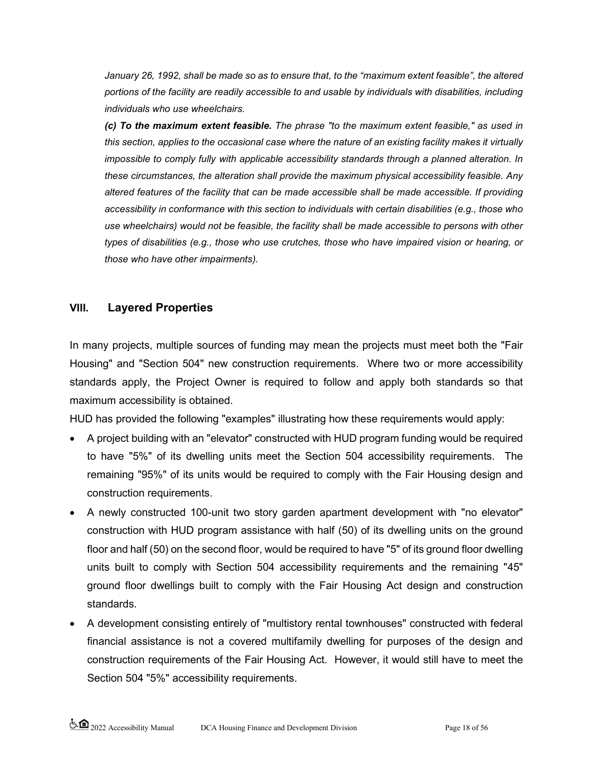*January 26, 1992, shall be made so as to ensure that, to the "maximum extent feasible", the altered portions of the facility are readily accessible to and usable by individuals with disabilities, including individuals who use wheelchairs.*

*(c) To the maximum extent feasible. The phrase "to the maximum extent feasible," as used in this section, applies to the occasional case where the nature of an existing facility makes it virtually impossible to comply fully with applicable accessibility standards through a planned alteration. In these circumstances, the alteration shall provide the maximum physical accessibility feasible. Any altered features of the facility that can be made accessible shall be made accessible. If providing accessibility in conformance with this section to individuals with certain disabilities (e.g., those who use wheelchairs) would not be feasible, the facility shall be made accessible to persons with other types of disabilities (e.g., those who use crutches, those who have impaired vision or hearing, or those who have other impairments).*

## **VIII. Layered Properties**

In many projects, multiple sources of funding may mean the projects must meet both the "Fair Housing" and "Section 504" new construction requirements. Where two or more accessibility standards apply, the Project Owner is required to follow and apply both standards so that maximum accessibility is obtained.

HUD has provided the following "examples" illustrating how these requirements would apply:

- A project building with an "elevator" constructed with HUD program funding would be required to have "5%" of its dwelling units meet the Section 504 accessibility requirements. The remaining "95%" of its units would be required to comply with the Fair Housing design and construction requirements.
- A newly constructed 100-unit two story garden apartment development with "no elevator" construction with HUD program assistance with half (50) of its dwelling units on the ground floor and half (50) on the second floor, would be required to have "5" of its ground floor dwelling units built to comply with Section 504 accessibility requirements and the remaining "45" ground floor dwellings built to comply with the Fair Housing Act design and construction standards.
- A development consisting entirely of "multistory rental townhouses" constructed with federal financial assistance is not a covered multifamily dwelling for purposes of the design and construction requirements of the Fair Housing Act. However, it would still have to meet the Section 504 "5%" accessibility requirements.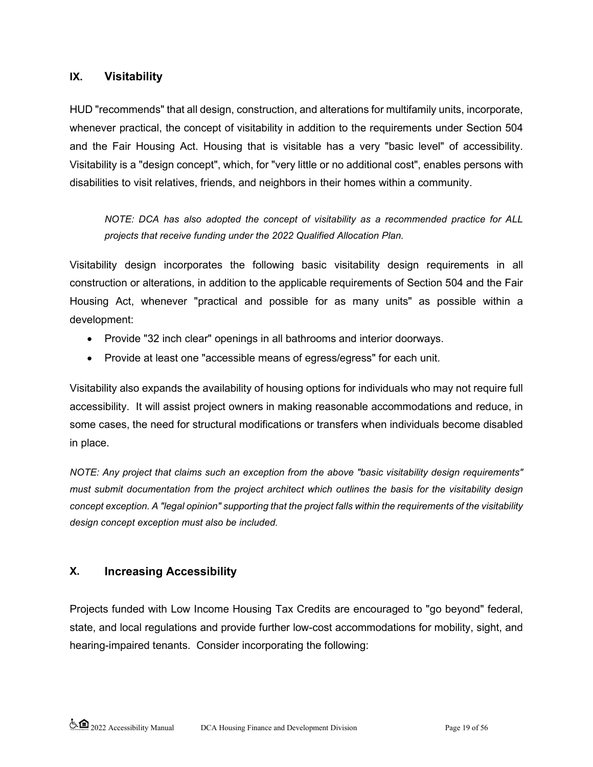### **IX. Visitability**

HUD "recommends" that all design, construction, and alterations for multifamily units, incorporate, whenever practical, the concept of visitability in addition to the requirements under Section 504 and the Fair Housing Act. Housing that is visitable has a very "basic level" of accessibility. Visitability is a "design concept", which, for "very little or no additional cost", enables persons with disabilities to visit relatives, friends, and neighbors in their homes within a community.

*NOTE: DCA has also adopted the concept of visitability as a recommended practice for ALL projects that receive funding under the 2022 Qualified Allocation Plan.*

Visitability design incorporates the following basic visitability design requirements in all construction or alterations, in addition to the applicable requirements of Section 504 and the Fair Housing Act, whenever "practical and possible for as many units" as possible within a development:

- Provide "32 inch clear" openings in all bathrooms and interior doorways.
- Provide at least one "accessible means of egress/egress" for each unit.

Visitability also expands the availability of housing options for individuals who may not require full accessibility. It will assist project owners in making reasonable accommodations and reduce, in some cases, the need for structural modifications or transfers when individuals become disabled in place.

*NOTE: Any project that claims such an exception from the above "basic visitability design requirements" must submit documentation from the project architect which outlines the basis for the visitability design concept exception. A "legal opinion" supporting that the project falls within the requirements of the visitability design concept exception must also be included.* 

# **X. Increasing Accessibility**

Projects funded with Low Income Housing Tax Credits are encouraged to "go beyond" federal, state, and local regulations and provide further low-cost accommodations for mobility, sight, and hearing-impaired tenants. Consider incorporating the following: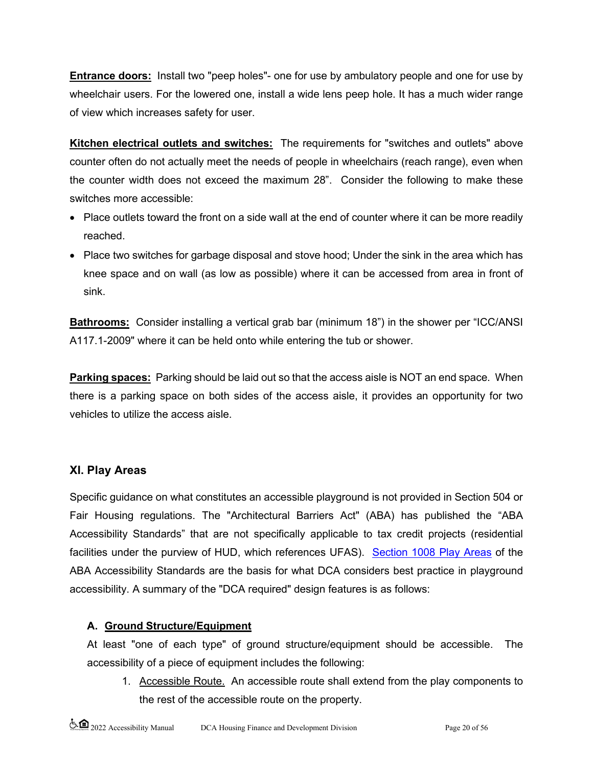**Entrance doors:** Install two "peep holes"- one for use by ambulatory people and one for use by wheelchair users. For the lowered one, install a wide lens peep hole. It has a much wider range of view which increases safety for user.

**Kitchen electrical outlets and switches:** The requirements for "switches and outlets" above counter often do not actually meet the needs of people in wheelchairs (reach range), even when the counter width does not exceed the maximum 28". Consider the following to make these switches more accessible:

- Place outlets toward the front on a side wall at the end of counter where it can be more readily reached.
- Place two switches for garbage disposal and stove hood; Under the sink in the area which has knee space and on wall (as low as possible) where it can be accessed from area in front of sink.

**Bathrooms:** Consider installing a vertical grab bar (minimum 18") in the shower per "ICC/ANSI A117.1-2009" where it can be held onto while entering the tub or shower.

**Parking spaces:** Parking should be laid out so that the access aisle is NOT an end space. When there is a parking space on both sides of the access aisle, it provides an opportunity for two vehicles to utilize the access aisle.

# **XI. Play Areas**

Specific guidance on what constitutes an accessible playground is not provided in Section 504 or Fair Housing regulations. The "Architectural Barriers Act" (ABA) has published the "ABA Accessibility Standards" that are not specifically applicable to tax credit projects (residential facilities under the purview of HUD, which references UFAS). [Section 1008 Play Areas](https://www.access-board.gov/guidelines-and-standards/buildings-and-sites/about-the-aba-standards/aba-standards/chapter-10-recreation-facilities#1008%20Play%20Areashttps://www.access-board.gov/guidelines-and-standards/buildings-and-sites/about-the-aba-standards/aba-standards/chapter-10-recreation-facilities) of the ABA Accessibility Standards are the basis for what DCA considers best practice in playground accessibility. A summary of the "DCA required" design features is as follows:

# **A. Ground Structure/Equipment**

At least "one of each type" of ground structure/equipment should be accessible. The accessibility of a piece of equipment includes the following:

1. Accessible Route. An accessible route shall extend from the play components to the rest of the accessible route on the property.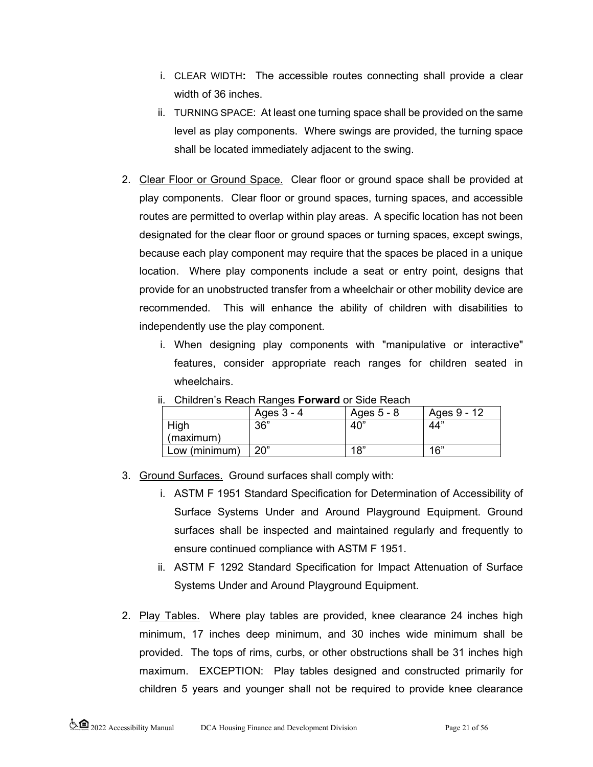- i. CLEAR WIDTH**:** The accessible routes connecting shall provide a clear width of 36 inches.
- ii. TURNING SPACE: At least one turning space shall be provided on the same level as play components. Where swings are provided, the turning space shall be located immediately adjacent to the swing.
- 2. Clear Floor or Ground Space. Clear floor or ground space shall be provided at play components. Clear floor or ground spaces, turning spaces, and accessible routes are permitted to overlap within play areas. A specific location has not been designated for the clear floor or ground spaces or turning spaces, except swings, because each play component may require that the spaces be placed in a unique location. Where play components include a seat or entry point, designs that provide for an unobstructed transfer from a wheelchair or other mobility device are recommended. This will enhance the ability of children with disabilities to independently use the play component.
	- i. When designing play components with "manipulative or interactive" features, consider appropriate reach ranges for children seated in wheelchairs.

|               | Ages 3 - 4 | Ages 5 - 8 | Ages 9 - 12 |
|---------------|------------|------------|-------------|
| High          | 36"        | 40"        | 44"         |
| (maximum)     |            |            |             |
| Low (minimum) | 20"        | 18"        | 16"         |

ii. Children's Reach Ranges **Forward** or Side Reach

3. Ground Surfaces. Ground surfaces shall comply with:

- i. ASTM F 1951 Standard Specification for Determination of Accessibility of Surface Systems Under and Around Playground Equipment. Ground surfaces shall be inspected and maintained regularly and frequently to ensure continued compliance with ASTM F 1951.
- ii. ASTM F 1292 Standard Specification for Impact Attenuation of Surface Systems Under and Around Playground Equipment.
- 2. Play Tables. Where play tables are provided, knee clearance 24 inches high minimum, 17 inches deep minimum, and 30 inches wide minimum shall be provided. The tops of rims, curbs, or other obstructions shall be 31 inches high maximum. EXCEPTION: Play tables designed and constructed primarily for children 5 years and younger shall not be required to provide knee clearance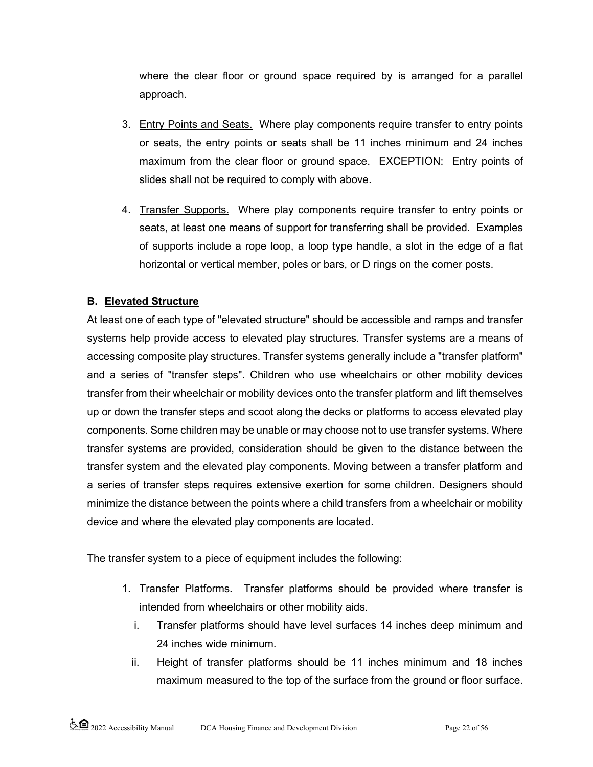where the clear floor or ground space required by is arranged for a parallel approach.

- 3. Entry Points and Seats. Where play components require transfer to entry points or seats, the entry points or seats shall be 11 inches minimum and 24 inches maximum from the clear floor or ground space. EXCEPTION: Entry points of slides shall not be required to comply with above.
- 4. Transfer Supports. Where play components require transfer to entry points or seats, at least one means of support for transferring shall be provided. Examples of supports include a rope loop, a loop type handle, a slot in the edge of a flat horizontal or vertical member, poles or bars, or D rings on the corner posts.

## **B. Elevated Structure**

At least one of each type of "elevated structure" should be accessible and ramps and transfer systems help provide access to elevated play structures. Transfer systems are a means of accessing composite play structures. Transfer systems generally include a "transfer platform" and a series of "transfer steps". Children who use wheelchairs or other mobility devices transfer from their wheelchair or mobility devices onto the transfer platform and lift themselves up or down the transfer steps and scoot along the decks or platforms to access elevated play components. Some children may be unable or may choose not to use transfer systems. Where transfer systems are provided, consideration should be given to the distance between the transfer system and the elevated play components. Moving between a transfer platform and a series of transfer steps requires extensive exertion for some children. Designers should minimize the distance between the points where a child transfers from a wheelchair or mobility device and where the elevated play components are located.

The transfer system to a piece of equipment includes the following:

- 1. Transfer Platforms**.** Transfer platforms should be provided where transfer is intended from wheelchairs or other mobility aids.
	- i. Transfer platforms should have level surfaces 14 inches deep minimum and 24 inches wide minimum.
	- ii. Height of transfer platforms should be 11 inches minimum and 18 inches maximum measured to the top of the surface from the ground or floor surface.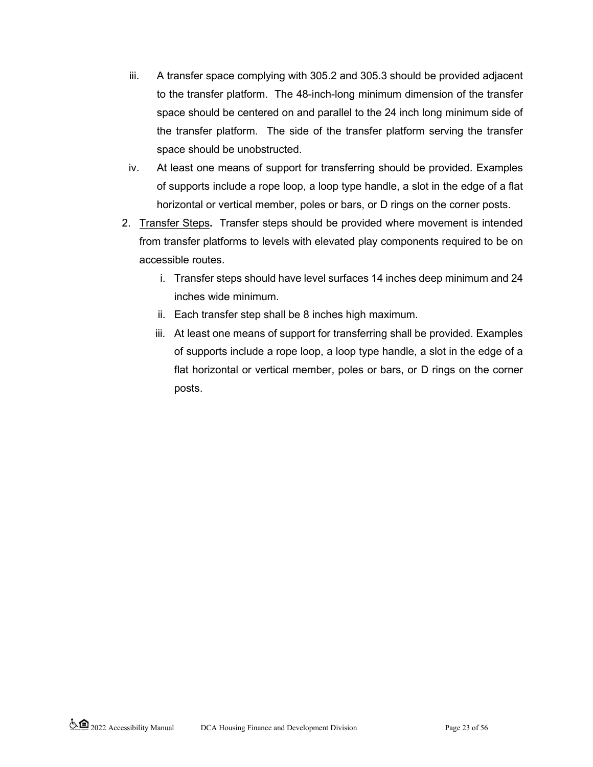- iii. A transfer space complying with 305.2 and 305.3 should be provided adjacent to the transfer platform. The 48-inch-long minimum dimension of the transfer space should be centered on and parallel to the 24 inch long minimum side of the transfer platform. The side of the transfer platform serving the transfer space should be unobstructed.
- iv. At least one means of support for transferring should be provided. Examples of supports include a rope loop, a loop type handle, a slot in the edge of a flat horizontal or vertical member, poles or bars, or D rings on the corner posts.
- 2. Transfer Steps**.** Transfer steps should be provided where movement is intended from transfer platforms to levels with elevated play components required to be on accessible routes.
	- i. Transfer steps should have level surfaces 14 inches deep minimum and 24 inches wide minimum.
	- ii. Each transfer step shall be 8 inches high maximum.
	- iii. At least one means of support for transferring shall be provided. Examples of supports include a rope loop, a loop type handle, a slot in the edge of a flat horizontal or vertical member, poles or bars, or D rings on the corner posts.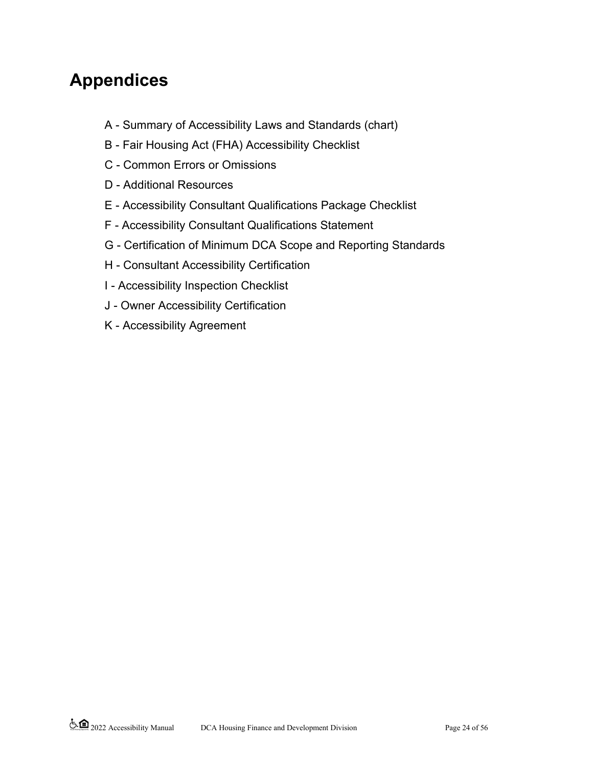# **Appendices**

- A Summary of Accessibility Laws and Standards (chart)
- B Fair Housing Act (FHA) Accessibility Checklist
- C Common Errors or Omissions
- D Additional Resources
- E Accessibility Consultant Qualifications Package Checklist
- F Accessibility Consultant Qualifications Statement
- G Certification of Minimum DCA Scope and Reporting Standards
- H Consultant Accessibility Certification
- I Accessibility Inspection Checklist
- J Owner Accessibility Certification
- K Accessibility Agreement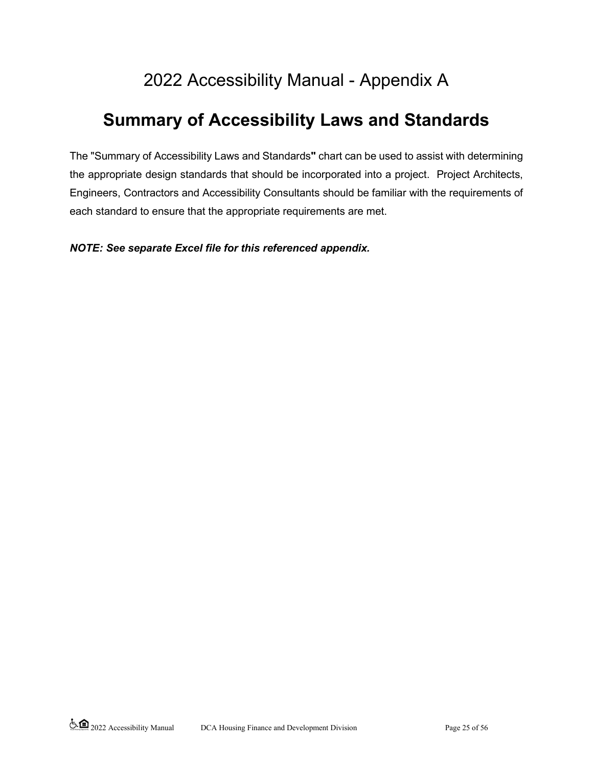# 2022 Accessibility Manual - Appendix A

# **Summary of Accessibility Laws and Standards**

The "Summary of Accessibility Laws and Standards**"** chart can be used to assist with determining the appropriate design standards that should be incorporated into a project. Project Architects, Engineers, Contractors and Accessibility Consultants should be familiar with the requirements of each standard to ensure that the appropriate requirements are met.

*NOTE: See separate Excel file for this referenced appendix.*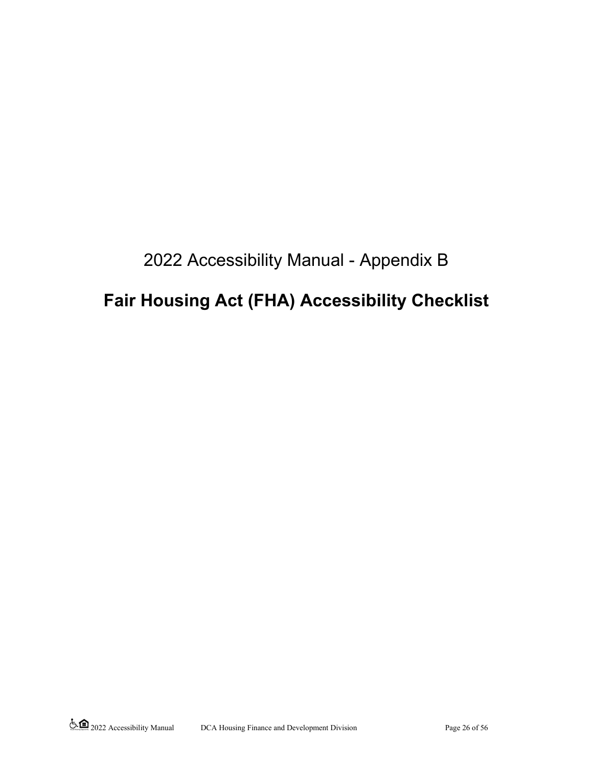# 2022 Accessibility Manual - Appendix B

# **Fair Housing Act (FHA) Accessibility Checklist**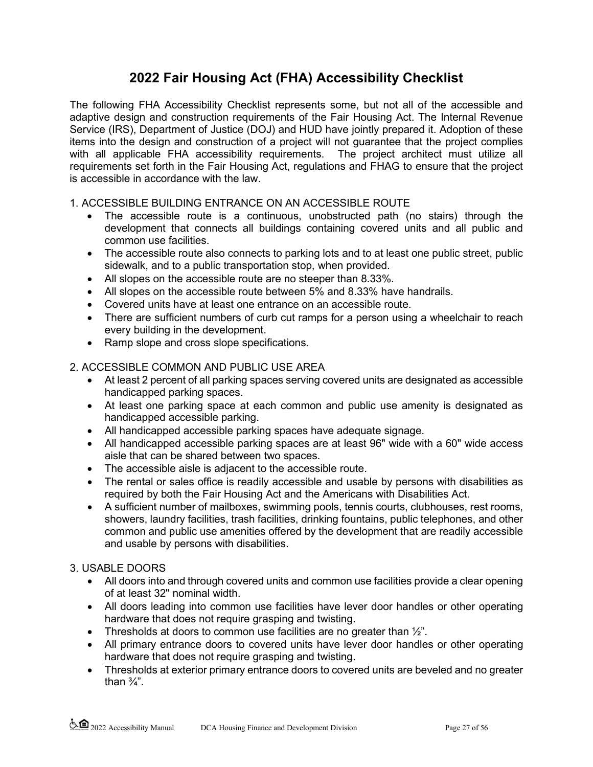# **2022 Fair Housing Act (FHA) Accessibility Checklist**

The following FHA Accessibility Checklist represents some, but not all of the accessible and adaptive design and construction requirements of the Fair Housing Act. The Internal Revenue Service (IRS), Department of Justice (DOJ) and HUD have jointly prepared it. Adoption of these items into the design and construction of a project will not guarantee that the project complies with all applicable FHA accessibility requirements. The project architect must utilize all requirements set forth in the Fair Housing Act, regulations and FHAG to ensure that the project is accessible in accordance with the law.

### 1. ACCESSIBLE BUILDING ENTRANCE ON AN ACCESSIBLE ROUTE

- The accessible route is a continuous, unobstructed path (no stairs) through the development that connects all buildings containing covered units and all public and common use facilities.
- The accessible route also connects to parking lots and to at least one public street, public sidewalk, and to a public transportation stop, when provided.
- All slopes on the accessible route are no steeper than 8.33%.
- All slopes on the accessible route between 5% and 8.33% have handrails.
- Covered units have at least one entrance on an accessible route.
- There are sufficient numbers of curb cut ramps for a person using a wheelchair to reach every building in the development.
- Ramp slope and cross slope specifications.

### 2. ACCESSIBLE COMMON AND PUBLIC USE AREA

- At least 2 percent of all parking spaces serving covered units are designated as accessible handicapped parking spaces.
- At least one parking space at each common and public use amenity is designated as handicapped accessible parking.
- All handicapped accessible parking spaces have adequate signage.
- All handicapped accessible parking spaces are at least 96" wide with a 60" wide access aisle that can be shared between two spaces.
- The accessible aisle is adjacent to the accessible route.
- The rental or sales office is readily accessible and usable by persons with disabilities as required by both the Fair Housing Act and the Americans with Disabilities Act.
- A sufficient number of mailboxes, swimming pools, tennis courts, clubhouses, rest rooms, showers, laundry facilities, trash facilities, drinking fountains, public telephones, and other common and public use amenities offered by the development that are readily accessible and usable by persons with disabilities.

### 3. USABLE DOORS

- All doors into and through covered units and common use facilities provide a clear opening of at least 32" nominal width.
- All doors leading into common use facilities have lever door handles or other operating hardware that does not require grasping and twisting.
- Thresholds at doors to common use facilities are no greater than  $\frac{1}{2}$ ".
- All primary entrance doors to covered units have lever door handles or other operating hardware that does not require grasping and twisting.
- Thresholds at exterior primary entrance doors to covered units are beveled and no greater than  $\frac{3}{4}$ ".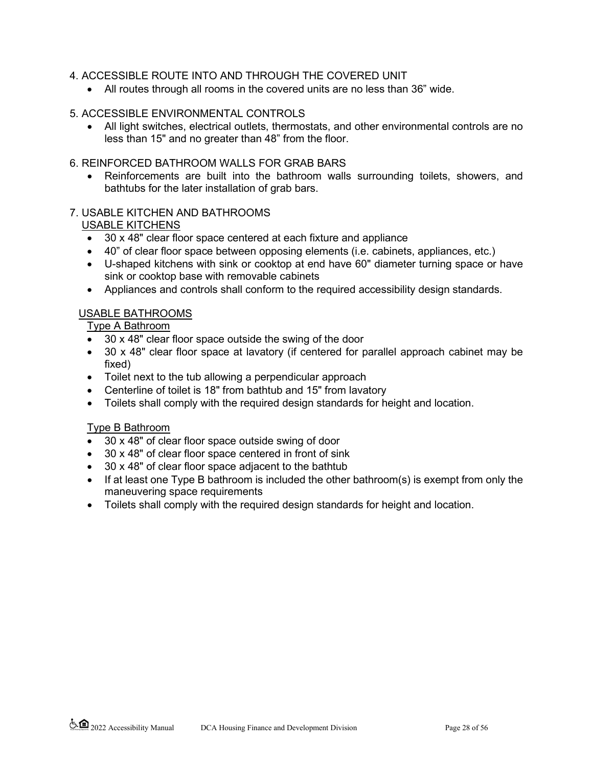#### 4. ACCESSIBLE ROUTE INTO AND THROUGH THE COVERED UNIT

• All routes through all rooms in the covered units are no less than 36" wide.

#### 5. ACCESSIBLE ENVIRONMENTAL CONTROLS

• All light switches, electrical outlets, thermostats, and other environmental controls are no less than 15" and no greater than 48" from the floor.

#### 6. REINFORCED BATHROOM WALLS FOR GRAB BARS

Reinforcements are built into the bathroom walls surrounding toilets, showers, and bathtubs for the later installation of grab bars.

#### 7. USABLE KITCHEN AND BATHROOMS

#### USABLE KITCHENS

- 30 x 48" clear floor space centered at each fixture and appliance
- 40" of clear floor space between opposing elements (i.e. cabinets, appliances, etc.)
- U-shaped kitchens with sink or cooktop at end have 60" diameter turning space or have sink or cooktop base with removable cabinets
- Appliances and controls shall conform to the required accessibility design standards.

#### USABLE BATHROOMS

Type A Bathroom

- 30 x 48" clear floor space outside the swing of the door
- 30 x 48" clear floor space at lavatory (if centered for parallel approach cabinet may be fixed)
- Toilet next to the tub allowing a perpendicular approach
- Centerline of toilet is 18" from bathtub and 15" from lavatory
- Toilets shall comply with the required design standards for height and location.

#### Type B Bathroom

- 30 x 48" of clear floor space outside swing of door
- 30 x 48" of clear floor space centered in front of sink
- 30 x 48" of clear floor space adjacent to the bathtub
- If at least one Type B bathroom is included the other bathroom(s) is exempt from only the maneuvering space requirements
- Toilets shall comply with the required design standards for height and location.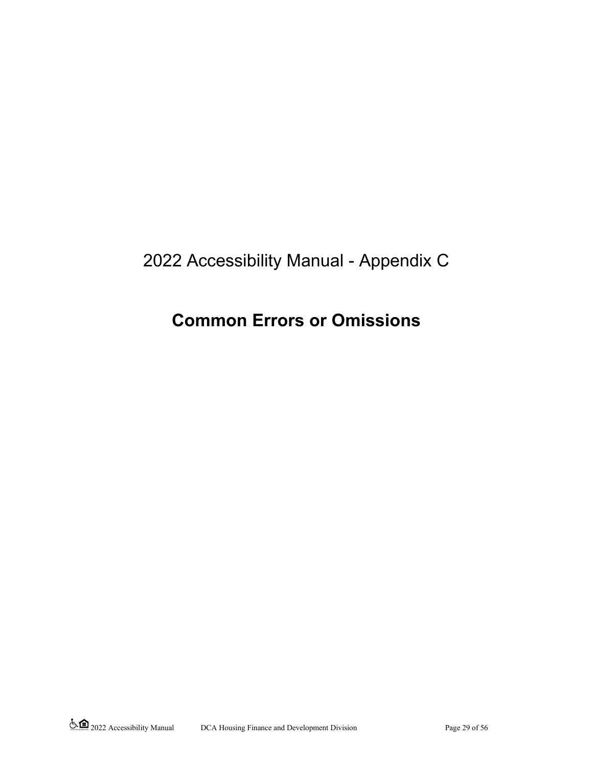# 2022 Accessibility Manual - Appendix C

# **Common Errors or Omissions**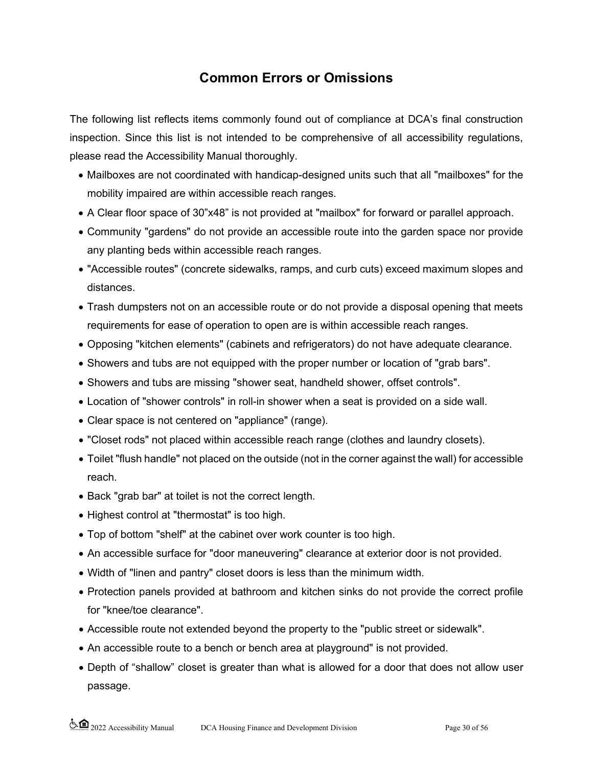# **Common Errors or Omissions**

The following list reflects items commonly found out of compliance at DCA's final construction inspection. Since this list is not intended to be comprehensive of all accessibility regulations, please read the Accessibility Manual thoroughly.

- Mailboxes are not coordinated with handicap-designed units such that all "mailboxes" for the mobility impaired are within accessible reach ranges.
- A Clear floor space of 30"x48" is not provided at "mailbox" for forward or parallel approach.
- Community "gardens" do not provide an accessible route into the garden space nor provide any planting beds within accessible reach ranges.
- "Accessible routes" (concrete sidewalks, ramps, and curb cuts) exceed maximum slopes and distances.
- Trash dumpsters not on an accessible route or do not provide a disposal opening that meets requirements for ease of operation to open are is within accessible reach ranges.
- Opposing "kitchen elements" (cabinets and refrigerators) do not have adequate clearance.
- Showers and tubs are not equipped with the proper number or location of "grab bars".
- Showers and tubs are missing "shower seat, handheld shower, offset controls".
- Location of "shower controls" in roll-in shower when a seat is provided on a side wall.
- Clear space is not centered on "appliance" (range).
- "Closet rods" not placed within accessible reach range (clothes and laundry closets).
- Toilet "flush handle" not placed on the outside (not in the corner against the wall) for accessible reach.
- Back "grab bar" at toilet is not the correct length.
- Highest control at "thermostat" is too high.
- Top of bottom "shelf" at the cabinet over work counter is too high.
- An accessible surface for "door maneuvering" clearance at exterior door is not provided.
- Width of "linen and pantry" closet doors is less than the minimum width.
- Protection panels provided at bathroom and kitchen sinks do not provide the correct profile for "knee/toe clearance".
- Accessible route not extended beyond the property to the "public street or sidewalk".
- An accessible route to a bench or bench area at playground" is not provided.
- Depth of "shallow" closet is greater than what is allowed for a door that does not allow user passage.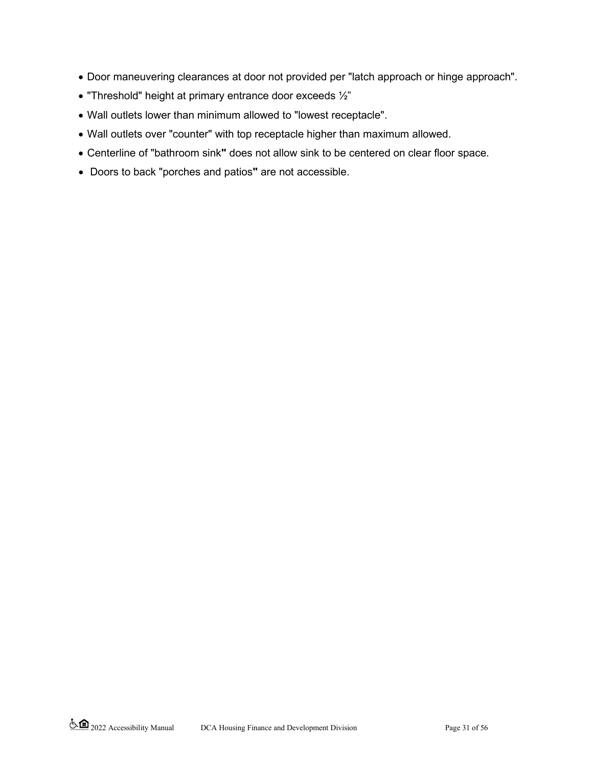- Door maneuvering clearances at door not provided per "latch approach or hinge approach".
- "Threshold" height at primary entrance door exceeds ½"
- Wall outlets lower than minimum allowed to "lowest receptacle".
- Wall outlets over "counter" with top receptacle higher than maximum allowed.
- Centerline of "bathroom sink**"** does not allow sink to be centered on clear floor space.
- Doors to back "porches and patios**"** are not accessible.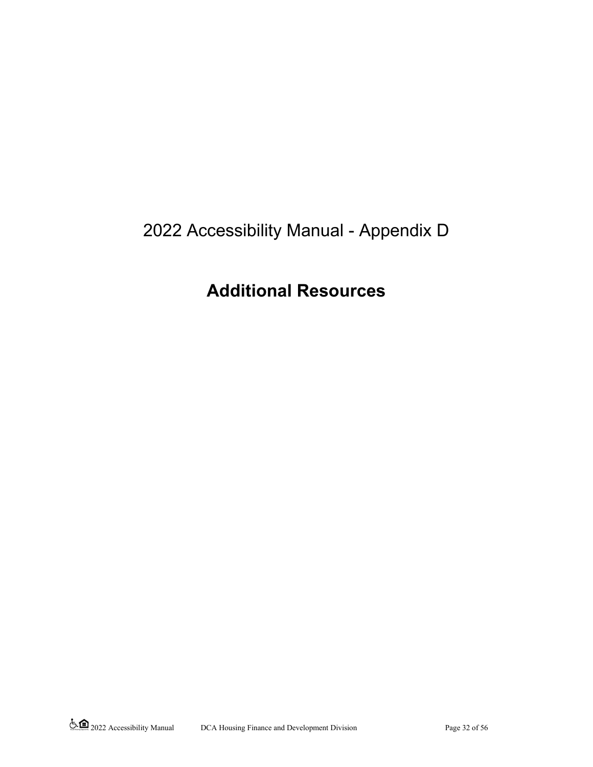# 2022 Accessibility Manual - Appendix D

# **Additional Resources**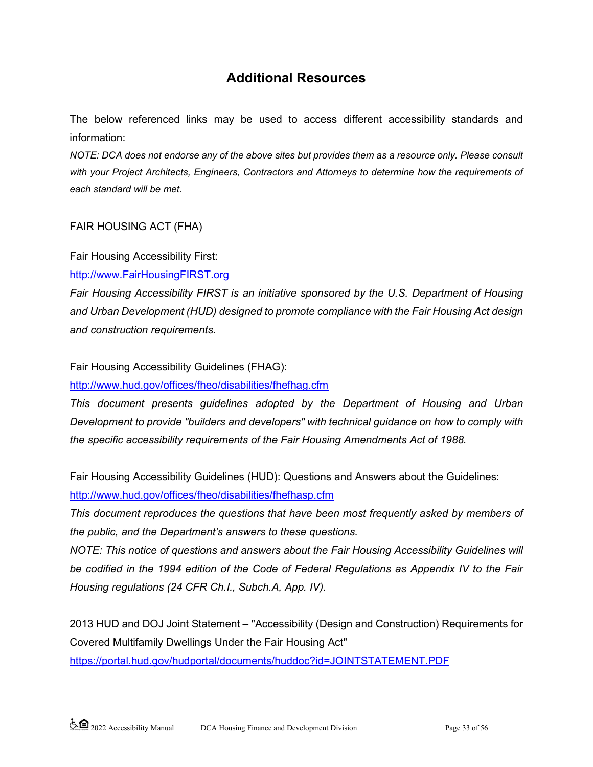# **Additional Resources**

The below referenced links may be used to access different accessibility standards and information:

*NOTE: DCA does not endorse any of the above sites but provides them as a resource only. Please consult with your Project Architects, Engineers, Contractors and Attorneys to determine how the requirements of each standard will be met.* 

### FAIR HOUSING ACT (FHA)

Fair Housing Accessibility First:

[http://www.FairHousingFIRST.org](http://www.fairhousingfirst.org/) 

*Fair Housing Accessibility FIRST is an initiative sponsored by the U.S. Department of Housing and Urban Development (HUD) designed to promote compliance with the Fair Housing Act design and construction requirements.*

Fair Housing Accessibility Guidelines (FHAG):

<http://www.hud.gov/offices/fheo/disabilities/fhefhag.cfm>

*This document presents guidelines adopted by the Department of Housing and Urban Development to provide "builders and developers" with technical guidance on how to comply with the specific accessibility requirements of the Fair Housing Amendments Act of 1988.*

Fair Housing Accessibility Guidelines (HUD): Questions and Answers about the Guidelines: <http://www.hud.gov/offices/fheo/disabilities/fhefhasp.cfm>

*This document reproduces the questions that have been most frequently asked by members of the public, and the Department's answers to these questions.*

*NOTE: This notice of questions and answers about the Fair Housing Accessibility Guidelines will be codified in the 1994 edition of the Code of Federal Regulations as Appendix IV to the Fair Housing regulations (24 CFR Ch.I., Subch.A, App. IV).*

2013 HUD and DOJ Joint Statement – "Accessibility (Design and Construction) Requirements for Covered Multifamily Dwellings Under the Fair Housing Act"

<https://portal.hud.gov/hudportal/documents/huddoc?id=JOINTSTATEMENT.PDF>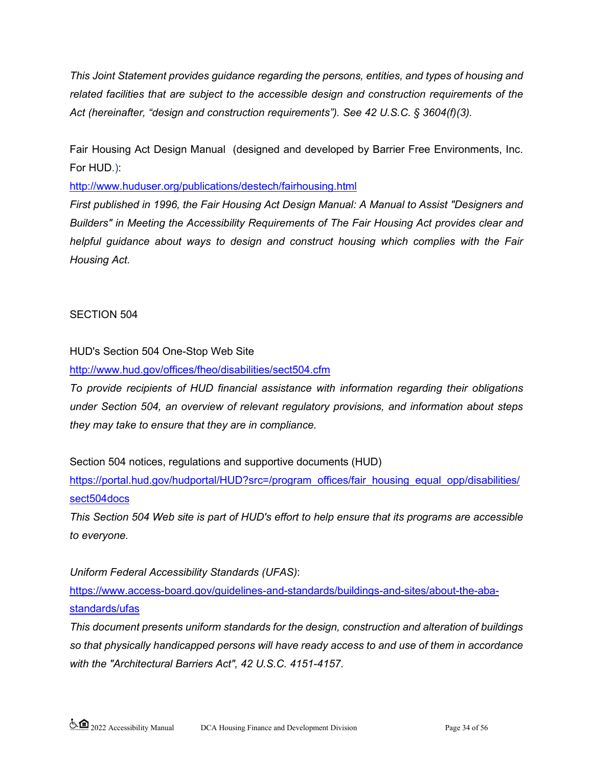*This Joint Statement provides guidance regarding the persons, entities, and types of housing and related facilities that are subject to the accessible design and construction requirements of the Act (hereinafter, "design and construction requirements"). See 42 U.S.C. § 3604(f)(3).*

Fair Housing Act Design Manual (designed and developed by Barrier Free Environments, Inc. For HUD.):

[http://www.huduser.org/publications/destech/fairhousing.html](https://www.huduser.gov/portal/publications/destech/fairhousing.html) 

*First published in 1996, the Fair Housing Act Design Manual: A Manual to Assist "Designers and Builders" in Meeting the Accessibility Requirements of The Fair Housing Act provides clear and helpful guidance about ways to design and construct housing which complies with the Fair Housing Act.*

## SECTION 504

HUD's Section 504 One-Stop Web Site

<http://www.hud.gov/offices/fheo/disabilities/sect504.cfm>

*To provide recipients of HUD financial assistance with information regarding their obligations under Section 504, an overview of relevant regulatory provisions, and information about steps they may take to ensure that they are in compliance.*

Section 504 notices, regulations and supportive documents (HUD)

[https://portal.hud.gov/hudportal/HUD?src=/program\\_offices/fair\\_housing\\_equal\\_opp/disabilities/](https://portal.hud.gov/hudportal/HUD?src=/program_offices/fair_housing_equal_opp/disabilities/sect504docs) [sect504docs](https://portal.hud.gov/hudportal/HUD?src=/program_offices/fair_housing_equal_opp/disabilities/sect504docs)

*This Section 504 Web site is part of HUD's effort to help ensure that its programs are accessible to everyone.*

*Uniform Federal Accessibility Standards (UFAS)*:

[https://www.access-board.gov/guidelines-and-standards/buildings-and-sites/about-the-aba](https://www.access-board.gov/guidelines-and-standards/buildings-and-sites/about-the-aba-standards/ufas)[standards/ufas](https://www.access-board.gov/guidelines-and-standards/buildings-and-sites/about-the-aba-standards/ufas)

*This document presents uniform standards for the design, construction and alteration of buildings so that physically handicapped persons will have ready access to and use of them in accordance with the "Architectural Barriers Act", 42 U.S.C. 4151-4157.*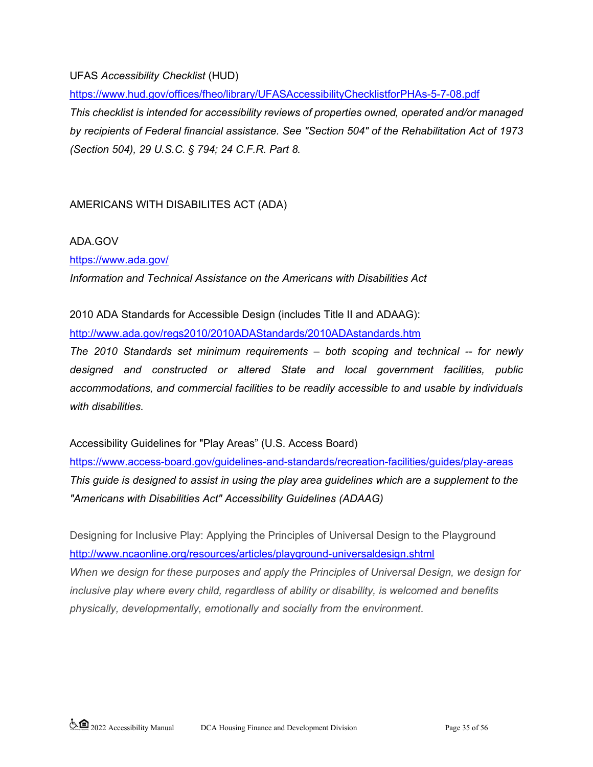UFAS *Accessibility Checklist* (HUD)

<https://www.hud.gov/offices/fheo/library/UFASAccessibilityChecklistforPHAs-5-7-08.pdf>

*This checklist is intended for accessibility reviews of properties owned, operated and/or managed by recipients of Federal financial assistance. See "Section 504" of the Rehabilitation Act of 1973 (Section 504), 29 U.S.C. § 794; 24 C.F.R. Part 8.*

## AMERICANS WITH DISABILITES ACT (ADA)

### ADA.GOV

<https://www.ada.gov/>

*Information and Technical Assistance on the Americans with Disabilities Act*

2010 ADA Standards for Accessible Design (includes Title II and ADAAG):

<http://www.ada.gov/regs2010/2010ADAStandards/2010ADAstandards.htm>

*The 2010 Standards set minimum requirements – both scoping and technical -- for newly designed and constructed or altered State and local government facilities, public accommodations, and commercial facilities to be readily accessible to and usable by individuals with disabilities.*

Accessibility Guidelines for "Play Areas" (U.S. Access Board)

<https://www.access-board.gov/guidelines-and-standards/recreation-facilities/guides/play-areas> *This guide is designed to assist in using the play area guidelines which are a supplement to the "Americans with Disabilities Act" Accessibility Guidelines (ADAAG)*

Designing for Inclusive Play: Applying the Principles of Universal Design to the Playground <http://www.ncaonline.org/resources/articles/playground-universaldesign.shtml>

*When we design for these purposes and apply the Principles of Universal Design, we design for inclusive play where every child, regardless of ability or disability, is welcomed and benefits physically, developmentally, emotionally and socially from the environment.*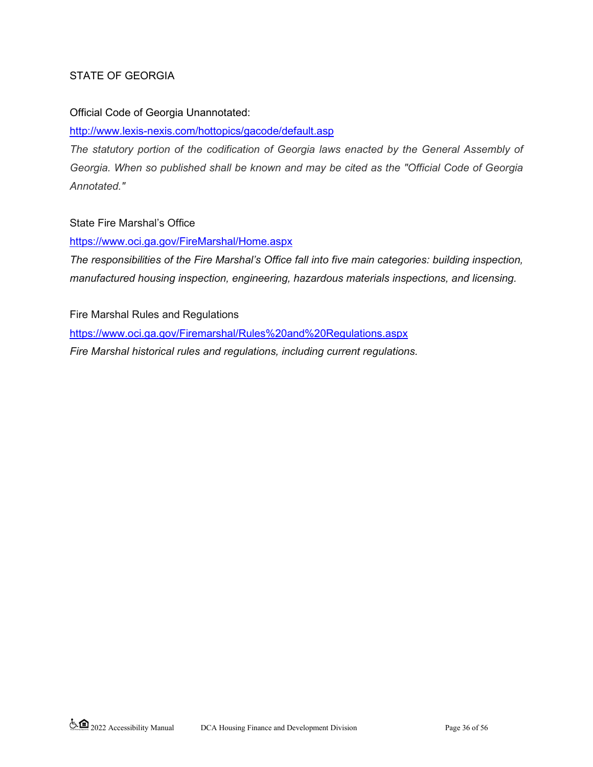### STATE OF GEORGIA

#### Official Code of Georgia Unannotated:

<http://www.lexis-nexis.com/hottopics/gacode/default.asp>

*The statutory portion of the codification of Georgia laws enacted by the General Assembly of Georgia. When so published shall be known and may be cited as the "Official Code of Georgia Annotated."*

#### State Fire Marshal's Office

<https://www.oci.ga.gov/FireMarshal/Home.aspx>

*The responsibilities of the Fire Marshal's Office fall into five main categories: building inspection, manufactured housing inspection, engineering, hazardous materials inspections, and licensing.*

Fire Marshal Rules and Regulations <https://www.oci.ga.gov/Firemarshal/Rules%20and%20Regulations.aspx> *Fire Marshal historical rules and regulations, including current regulations.*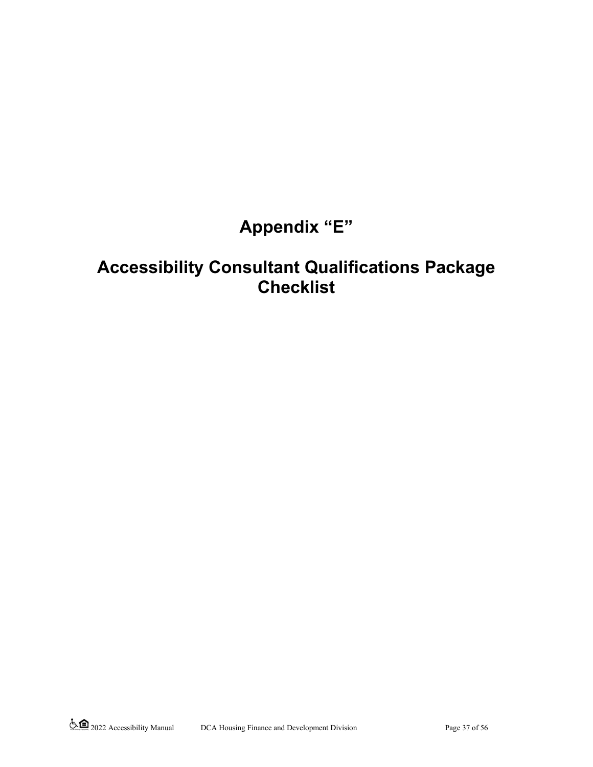# **Appendix "E"**

# **Accessibility Consultant Qualifications Package Checklist**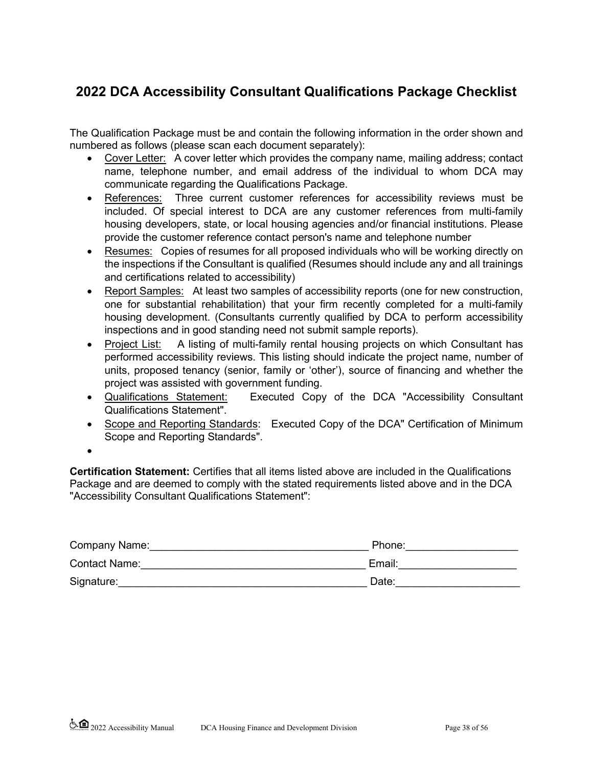# **2022 DCA Accessibility Consultant Qualifications Package Checklist**

The Qualification Package must be and contain the following information in the order shown and numbered as follows (please scan each document separately):

- Cover Letter: A cover letter which provides the company name, mailing address; contact name, telephone number, and email address of the individual to whom DCA may communicate regarding the Qualifications Package.
- References: Three current customer references for accessibility reviews must be included. Of special interest to DCA are any customer references from multi-family housing developers, state, or local housing agencies and/or financial institutions. Please provide the customer reference contact person's name and telephone number
- Resumes: Copies of resumes for all proposed individuals who will be working directly on the inspections if the Consultant is qualified (Resumes should include any and all trainings and certifications related to accessibility)
- Report Samples: At least two samples of accessibility reports (one for new construction, one for substantial rehabilitation) that your firm recently completed for a multi-family housing development. (Consultants currently qualified by DCA to perform accessibility inspections and in good standing need not submit sample reports).
- Project List: A listing of multi-family rental housing projects on which Consultant has performed accessibility reviews. This listing should indicate the project name, number of units, proposed tenancy (senior, family or 'other'), source of financing and whether the project was assisted with government funding.
- Qualifications Statement: Executed Copy of the DCA "Accessibility Consultant Qualifications Statement".
- Scope and Reporting Standards: Executed Copy of the DCA" Certification of Minimum Scope and Reporting Standards".
- •

**Certification Statement:** Certifies that all items listed above are included in the Qualifications Package and are deemed to comply with the stated requirements listed above and in the DCA "Accessibility Consultant Qualifications Statement":

| Company Name:        | Phone: |
|----------------------|--------|
| <b>Contact Name:</b> | Email: |
| Signature:           | Date:  |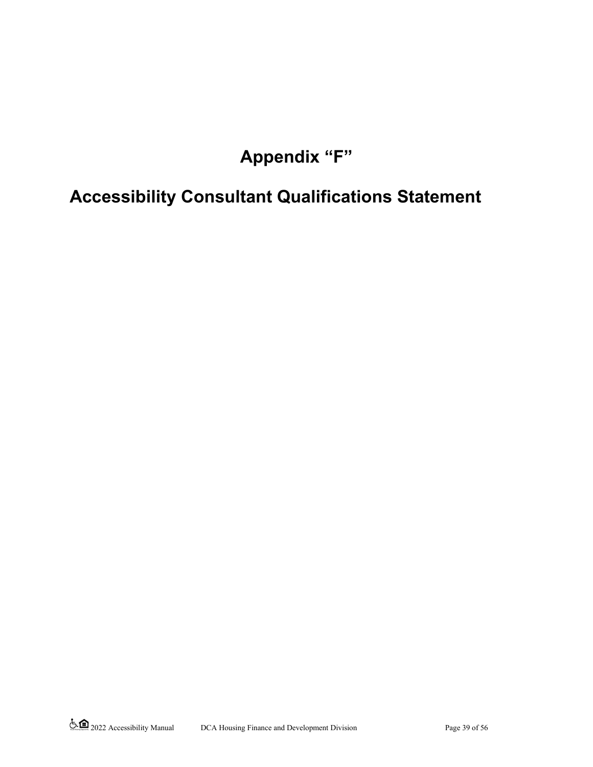# **Appendix "F"**

# **Accessibility Consultant Qualifications Statement**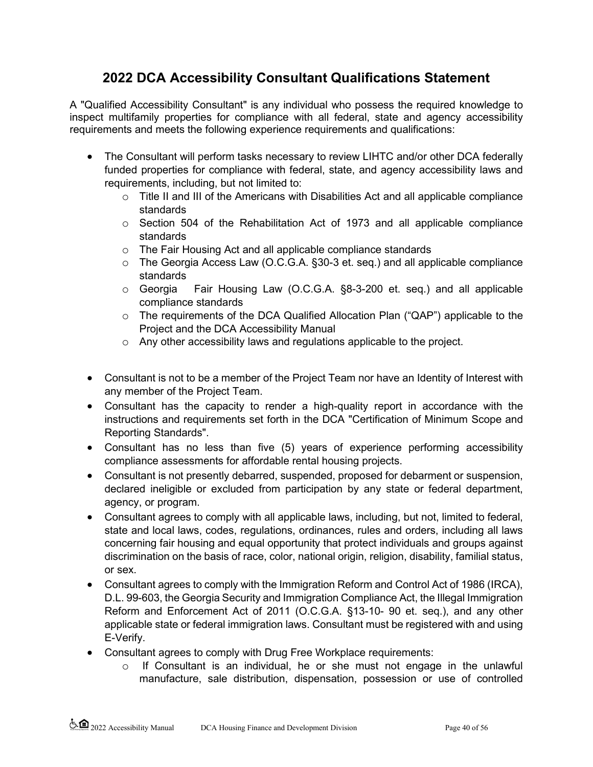# **2022 DCA Accessibility Consultant Qualifications Statement**

A "Qualified Accessibility Consultant" is any individual who possess the required knowledge to inspect multifamily properties for compliance with all federal, state and agency accessibility requirements and meets the following experience requirements and qualifications:

- The Consultant will perform tasks necessary to review LIHTC and/or other DCA federally funded properties for compliance with federal, state, and agency accessibility laws and requirements, including, but not limited to:
	- $\circ$  Title II and III of the Americans with Disabilities Act and all applicable compliance standards
	- o Section 504 of the Rehabilitation Act of 1973 and all applicable compliance standards
	- o The Fair Housing Act and all applicable compliance standards
	- o The Georgia Access Law (O.C.G.A. §30-3 et. seq.) and all applicable compliance standards
	- o Georgia Fair Housing Law (O.C.G.A. §8-3-200 et. seq.) and all applicable compliance standards
	- o The requirements of the DCA Qualified Allocation Plan ("QAP") applicable to the Project and the DCA Accessibility Manual
	- o Any other accessibility laws and regulations applicable to the project.
- Consultant is not to be a member of the Project Team nor have an Identity of Interest with any member of the Project Team.
- Consultant has the capacity to render a high-quality report in accordance with the instructions and requirements set forth in the DCA "Certification of Minimum Scope and Reporting Standards".
- Consultant has no less than five (5) years of experience performing accessibility compliance assessments for affordable rental housing projects.
- Consultant is not presently debarred, suspended, proposed for debarment or suspension, declared ineligible or excluded from participation by any state or federal department, agency, or program.
- Consultant agrees to comply with all applicable laws, including, but not, limited to federal, state and local laws, codes, regulations, ordinances, rules and orders, including all laws concerning fair housing and equal opportunity that protect individuals and groups against discrimination on the basis of race, color, national origin, religion, disability, familial status, or sex.
- Consultant agrees to comply with the Immigration Reform and Control Act of 1986 (IRCA), D.L. 99-603, the Georgia Security and Immigration Compliance Act, the Illegal Immigration Reform and Enforcement Act of 2011 (O.C.G.A. §13-10- 90 et. seq.), and any other applicable state or federal immigration laws. Consultant must be registered with and using E-Verify.
- Consultant agrees to comply with Drug Free Workplace requirements:
	- o If Consultant is an individual, he or she must not engage in the unlawful manufacture, sale distribution, dispensation, possession or use of controlled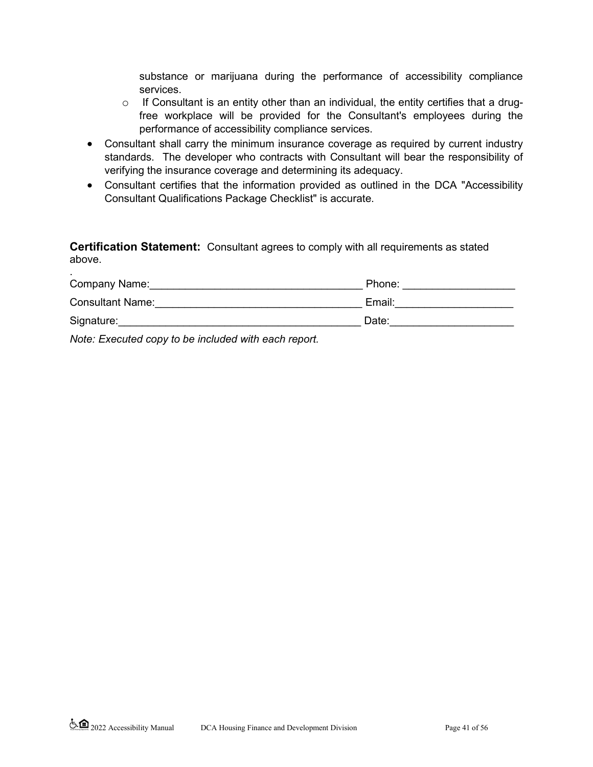substance or marijuana during the performance of accessibility compliance services.

- o If Consultant is an entity other than an individual, the entity certifies that a drugfree workplace will be provided for the Consultant's employees during the performance of accessibility compliance services.
- Consultant shall carry the minimum insurance coverage as required by current industry standards. The developer who contracts with Consultant will bear the responsibility of verifying the insurance coverage and determining its adequacy.
- Consultant certifies that the information provided as outlined in the DCA "Accessibility Consultant Qualifications Package Checklist" is accurate.

**Certification Statement:** Consultant agrees to comply with all requirements as stated above.

| Company Name:           | Phone: |
|-------------------------|--------|
| <b>Consultant Name:</b> | Email: |
| Signature:              | Date:  |
|                         |        |

*Note: Executed copy to be included with each report.*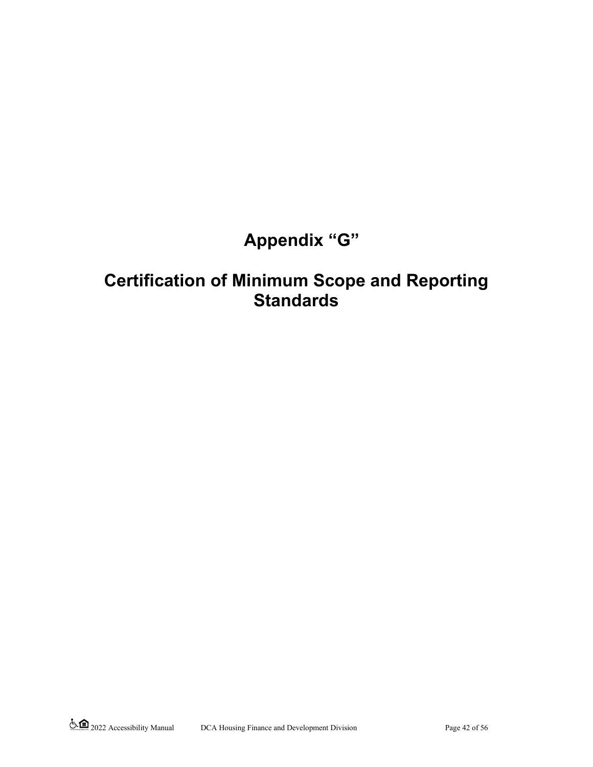# **Appendix "G"**

# **Certification of Minimum Scope and Reporting Standards**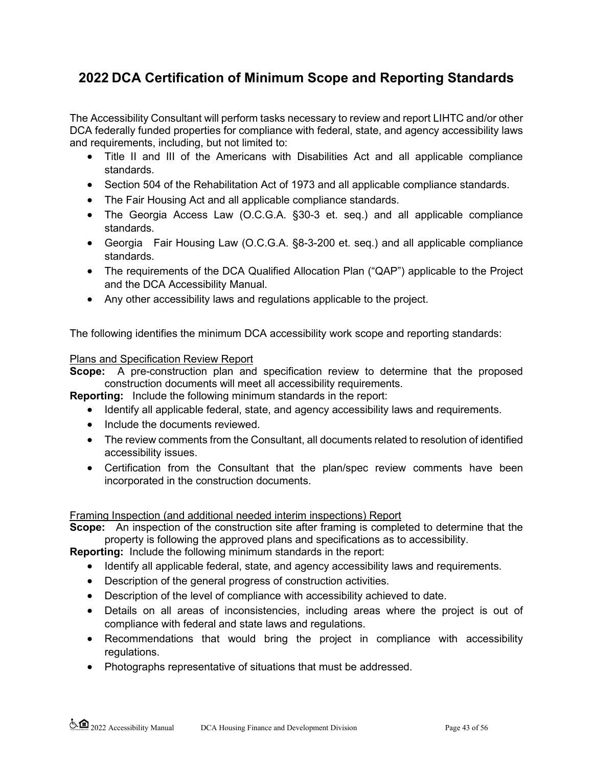# **2022 DCA Certification of Minimum Scope and Reporting Standards**

The Accessibility Consultant will perform tasks necessary to review and report LIHTC and/or other DCA federally funded properties for compliance with federal, state, and agency accessibility laws and requirements, including, but not limited to:

- Title II and III of the Americans with Disabilities Act and all applicable compliance standards.
- Section 504 of the Rehabilitation Act of 1973 and all applicable compliance standards.
- The Fair Housing Act and all applicable compliance standards.
- The Georgia Access Law (O.C.G.A. §30-3 et. seq.) and all applicable compliance standards.
- Georgia Fair Housing Law (O.C.G.A. §8-3-200 et. seq.) and all applicable compliance standards.
- The requirements of the DCA Qualified Allocation Plan ("QAP") applicable to the Project and the DCA Accessibility Manual.
- Any other accessibility laws and regulations applicable to the project.

The following identifies the minimum DCA accessibility work scope and reporting standards:

#### Plans and Specification Review Report

**Scope:** A pre-construction plan and specification review to determine that the proposed construction documents will meet all accessibility requirements.

**Reporting:** Include the following minimum standards in the report:

- Identify all applicable federal, state, and agency accessibility laws and requirements.
- Include the documents reviewed.
- The review comments from the Consultant, all documents related to resolution of identified accessibility issues.
- Certification from the Consultant that the plan/spec review comments have been incorporated in the construction documents.

#### Framing Inspection (and additional needed interim inspections) Report

**Scope:** An inspection of the construction site after framing is completed to determine that the property is following the approved plans and specifications as to accessibility.

**Reporting:** Include the following minimum standards in the report:

- Identify all applicable federal, state, and agency accessibility laws and requirements.
- Description of the general progress of construction activities.
- Description of the level of compliance with accessibility achieved to date.
- Details on all areas of inconsistencies, including areas where the project is out of compliance with federal and state laws and regulations.
- Recommendations that would bring the project in compliance with accessibility regulations.
- Photographs representative of situations that must be addressed.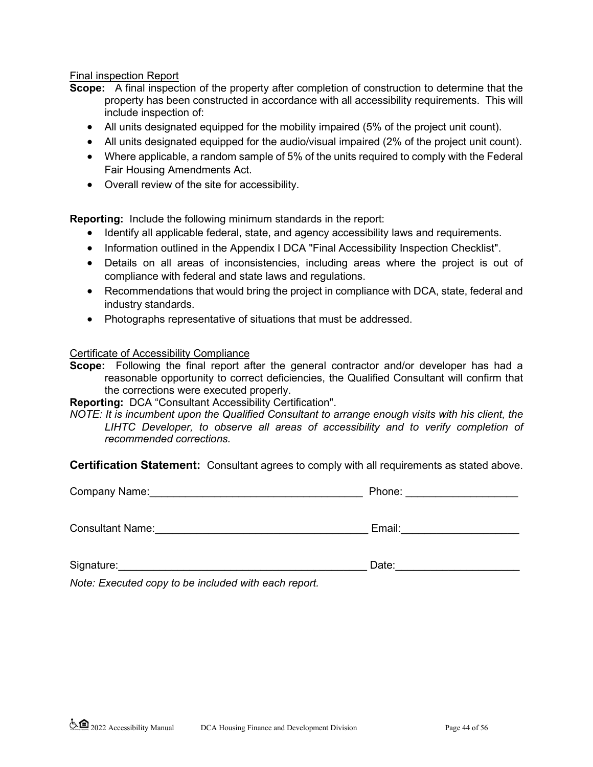#### Final inspection Report

- **Scope:** A final inspection of the property after completion of construction to determine that the property has been constructed in accordance with all accessibility requirements. This will include inspection of:
	- All units designated equipped for the mobility impaired (5% of the project unit count).
	- All units designated equipped for the audio/visual impaired (2% of the project unit count).
	- Where applicable, a random sample of 5% of the units required to comply with the Federal Fair Housing Amendments Act.
	- Overall review of the site for accessibility.

**Reporting:** Include the following minimum standards in the report:

- Identify all applicable federal, state, and agency accessibility laws and requirements.
- Information outlined in the Appendix I DCA "Final Accessibility Inspection Checklist".
- Details on all areas of inconsistencies, including areas where the project is out of compliance with federal and state laws and regulations.
- Recommendations that would bring the project in compliance with DCA, state, federal and industry standards.
- Photographs representative of situations that must be addressed.

#### Certificate of Accessibility Compliance

**Scope:** Following the final report after the general contractor and/or developer has had a reasonable opportunity to correct deficiencies, the Qualified Consultant will confirm that the corrections were executed properly.

**Reporting:** DCA "Consultant Accessibility Certification".

*NOTE: It is incumbent upon the Qualified Consultant to arrange enough visits with his client, the LIHTC Developer, to observe all areas of accessibility and to verify completion of recommended corrections.*

**Certification Statement:** Consultant agrees to comply with all requirements as stated above.

| Company Name:           | Phone: |  |
|-------------------------|--------|--|
|                         |        |  |
| <b>Consultant Name:</b> | Email: |  |

Signature:\_\_\_\_\_\_\_\_\_\_\_\_\_\_\_\_\_\_\_\_\_\_\_\_\_\_\_\_\_\_\_\_\_\_\_\_\_\_\_\_\_\_ Date:\_\_\_\_\_\_\_\_\_\_\_\_\_\_\_\_\_\_\_\_\_

*Note: Executed copy to be included with each report.*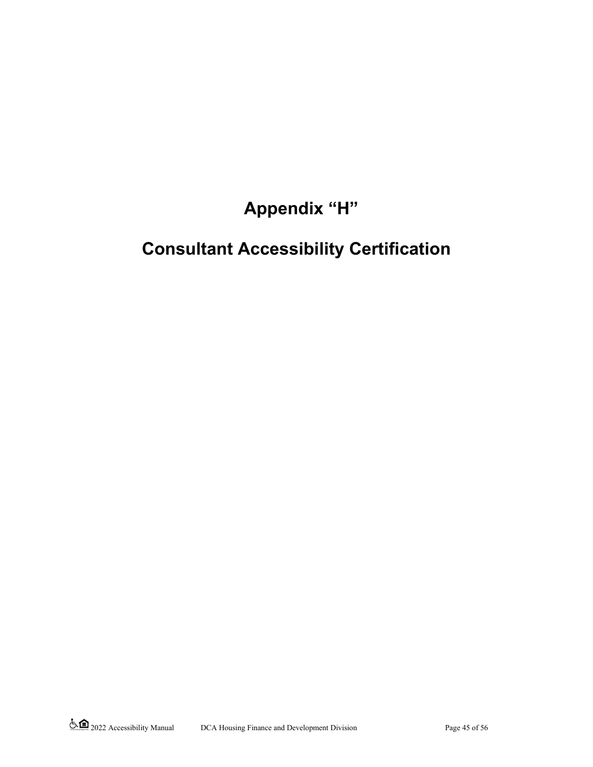**Appendix "H"**

# **Consultant Accessibility Certification**

2022 Accessibility Manual DCA Housing Finance and Development Division Page 45 of 56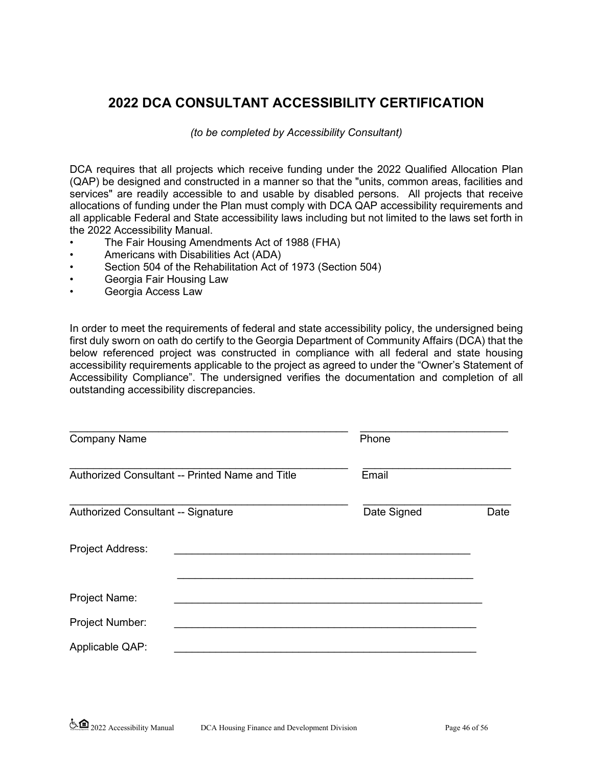# **2022 DCA CONSULTANT ACCESSIBILITY CERTIFICATION**

*(to be completed by Accessibility Consultant)* 

DCA requires that all projects which receive funding under the 2022 Qualified Allocation Plan (QAP) be designed and constructed in a manner so that the "units, common areas, facilities and services" are readily accessible to and usable by disabled persons. All projects that receive allocations of funding under the Plan must comply with DCA QAP accessibility requirements and all applicable Federal and State accessibility laws including but not limited to the laws set forth in the 2022 Accessibility Manual.

- The Fair Housing Amendments Act of 1988 (FHA)
- Americans with Disabilities Act (ADA)
- Section 504 of the Rehabilitation Act of 1973 (Section 504)
- Georgia Fair Housing Law
- Georgia Access Law

In order to meet the requirements of federal and state accessibility policy, the undersigned being first duly sworn on oath do certify to the Georgia Department of Community Affairs (DCA) that the below referenced project was constructed in compliance with all federal and state housing accessibility requirements applicable to the project as agreed to under the "Owner's Statement of Accessibility Compliance". The undersigned verifies the documentation and completion of all outstanding accessibility discrepancies.

| <b>Company Name</b>                             |  | Phone       |      |
|-------------------------------------------------|--|-------------|------|
| Authorized Consultant -- Printed Name and Title |  | Email       |      |
| Authorized Consultant -- Signature              |  | Date Signed | Date |
| <b>Project Address:</b>                         |  |             |      |
| Project Name:                                   |  |             |      |
| Project Number:                                 |  |             |      |
| Applicable QAP:                                 |  |             |      |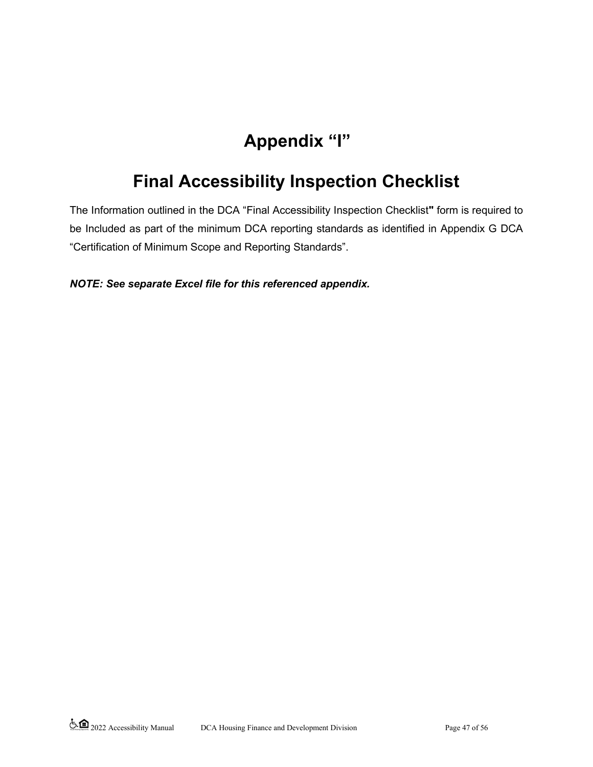# **Appendix "I"**

# **Final Accessibility Inspection Checklist**

The Information outlined in the DCA "Final Accessibility Inspection Checklist**"** form is required to be Included as part of the minimum DCA reporting standards as identified in Appendix G DCA "Certification of Minimum Scope and Reporting Standards".

## *NOTE: See separate Excel file for this referenced appendix.*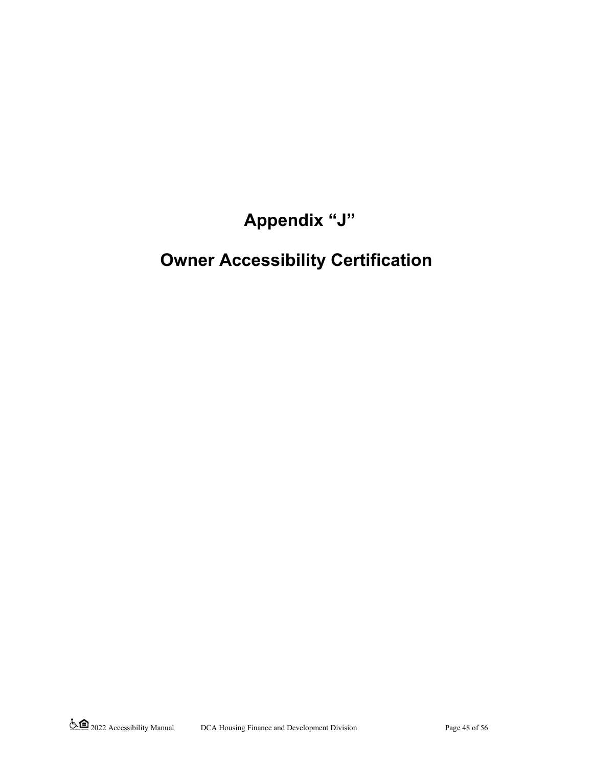# **Appendix "J"**

# **Owner Accessibility Certification**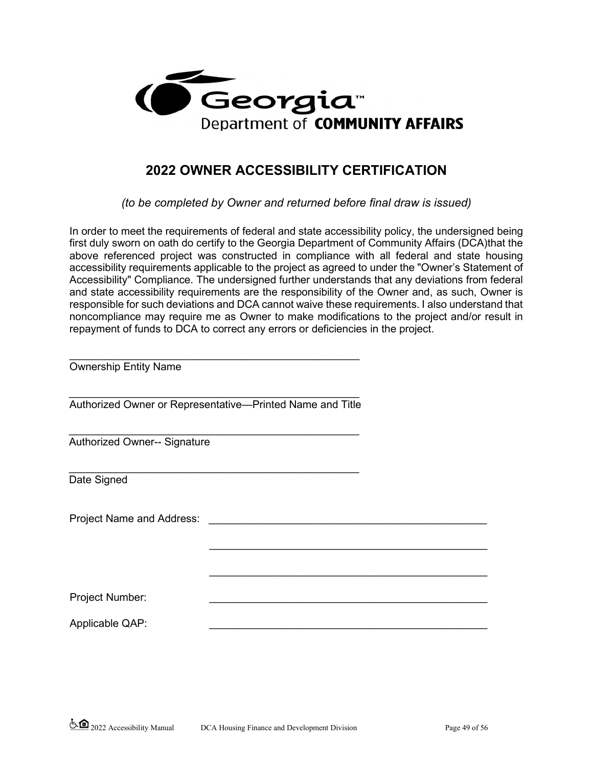

# **2022 OWNER ACCESSIBILITY CERTIFICATION**

*(to be completed by Owner and returned before final draw is issued)* 

In order to meet the requirements of federal and state accessibility policy, the undersigned being first duly sworn on oath do certify to the Georgia Department of Community Affairs (DCA)that the above referenced project was constructed in compliance with all federal and state housing accessibility requirements applicable to the project as agreed to under the "Owner's Statement of Accessibility" Compliance. The undersigned further understands that any deviations from federal and state accessibility requirements are the responsibility of the Owner and, as such, Owner is responsible for such deviations and DCA cannot waive these requirements. I also understand that noncompliance may require me as Owner to make modifications to the project and/or result in repayment of funds to DCA to correct any errors or deficiencies in the project.

| <b>Ownership Entity Name</b>        |                                                           |  |
|-------------------------------------|-----------------------------------------------------------|--|
|                                     | Authorized Owner or Representative-Printed Name and Title |  |
| <b>Authorized Owner-- Signature</b> |                                                           |  |
| Date Signed                         |                                                           |  |
| Project Name and Address:           |                                                           |  |
|                                     |                                                           |  |
|                                     |                                                           |  |
| Project Number:                     |                                                           |  |
| Applicable QAP:                     |                                                           |  |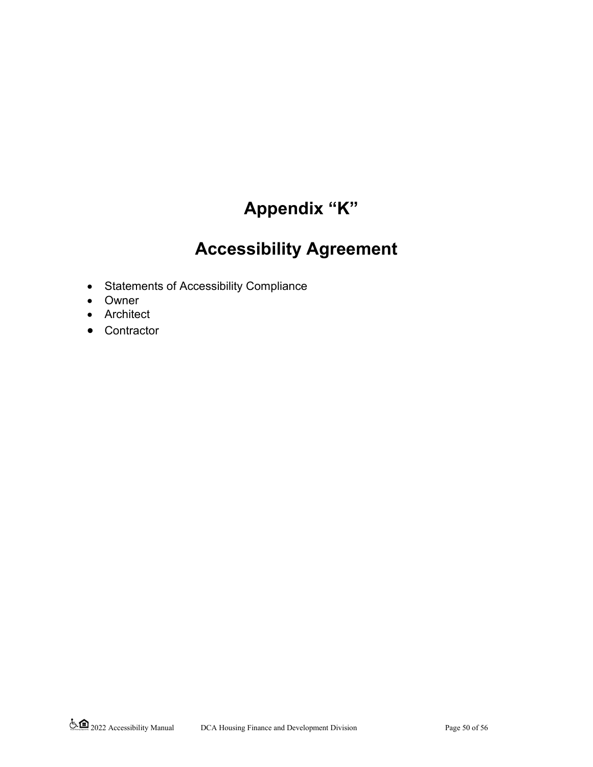# **Appendix "K"**

# **Accessibility Agreement**

- Statements of Accessibility Compliance
- Owner
- Architect
- Contractor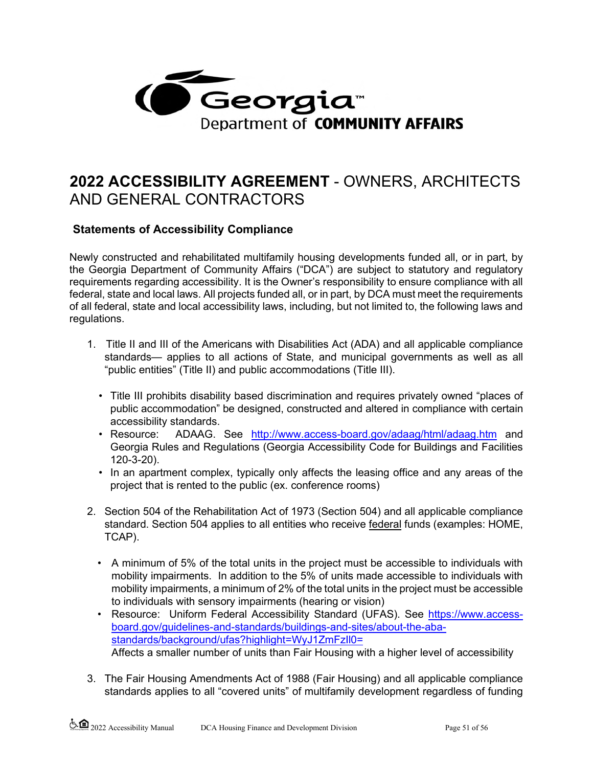

# **2022 ACCESSIBILITY AGREEMENT** - OWNERS, ARCHITECTS AND GENERAL CONTRACTORS

## **Statements of Accessibility Compliance**

Newly constructed and rehabilitated multifamily housing developments funded all, or in part, by the Georgia Department of Community Affairs ("DCA") are subject to statutory and regulatory requirements regarding accessibility. It is the Owner's responsibility to ensure compliance with all federal, state and local laws. All projects funded all, or in part, by DCA must meet the requirements of all federal, state and local accessibility laws, including, but not limited to, the following laws and regulations.

- 1. Title II and III of the Americans with Disabilities Act (ADA) and all applicable compliance standards— applies to all actions of State, and municipal governments as well as all "public entities" (Title II) and public accommodations (Title III).
	- Title III prohibits disability based discrimination and requires privately owned "places of public accommodation" be designed, constructed and altered in compliance with certain accessibility standards.
	- Resource: ADAAG. See <http://www.access-board.gov/adaag/html/adaag.htm> and Georgia Rules and Regulations (Georgia Accessibility Code for Buildings and Facilities 120-3-20).
	- In an apartment complex, typically only affects the leasing office and any areas of the project that is rented to the public (ex. conference rooms)
- 2. Section 504 of the Rehabilitation Act of 1973 (Section 504) and all applicable compliance standard. Section 504 applies to all entities who receive federal funds (examples: HOME, TCAP).
	- A minimum of 5% of the total units in the project must be accessible to individuals with mobility impairments. In addition to the 5% of units made accessible to individuals with mobility impairments, a minimum of 2% of the total units in the project must be accessible to individuals with sensory impairments (hearing or vision)
	- Resource: Uniform Federal Accessibility Standard (UFAS). See [https://www.access](https://www.access-board.gov/guidelines-and-standards/buildings-and-sites/about-the-aba-standards/background/ufas?highlight=WyJ1ZmFzIl0=)[board.gov/guidelines-and-standards/buildings-and-sites/about-the-aba](https://www.access-board.gov/guidelines-and-standards/buildings-and-sites/about-the-aba-standards/background/ufas?highlight=WyJ1ZmFzIl0=)[standards/background/ufas?highlight=WyJ1ZmFzIl0=](https://www.access-board.gov/guidelines-and-standards/buildings-and-sites/about-the-aba-standards/background/ufas?highlight=WyJ1ZmFzIl0=) Affects a smaller number of units than Fair Housing with a higher level of accessibility
- 3. The Fair Housing Amendments Act of 1988 (Fair Housing) and all applicable compliance standards applies to all "covered units" of multifamily development regardless of funding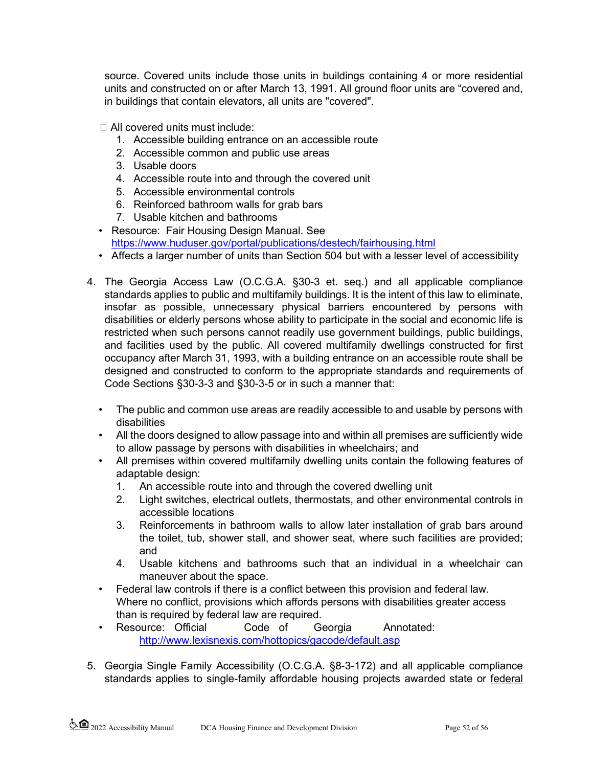source. Covered units include those units in buildings containing 4 or more residential units and constructed on or after March 13, 1991. All ground floor units are "covered and, in buildings that contain elevators, all units are "covered".

All covered units must include:

- 1. Accessible building entrance on an accessible route
- 2. Accessible common and public use areas
- 3. Usable doors
- 4. Accessible route into and through the covered unit
- 5. Accessible environmental controls
- 6. Reinforced bathroom walls for grab bars
- 7. Usable kitchen and bathrooms
- Resource: Fair Housing Design Manual. See <https://www.huduser.gov/portal/publications/destech/fairhousing.html>
- Affects a larger number of units than Section 504 but with a lesser level of accessibility
- 4. The Georgia Access Law (O.C.G.A. §30-3 et. seq.) and all applicable compliance standards applies to public and multifamily buildings. It is the intent of this law to eliminate, insofar as possible, unnecessary physical barriers encountered by persons with disabilities or elderly persons whose ability to participate in the social and economic life is restricted when such persons cannot readily use government buildings, public buildings, and facilities used by the public. All covered multifamily dwellings constructed for first occupancy after March 31, 1993, with a building entrance on an accessible route shall be designed and constructed to conform to the appropriate standards and requirements of Code Sections §30-3-3 and §30-3-5 or in such a manner that:
	- The public and common use areas are readily accessible to and usable by persons with disabilities
	- All the doors designed to allow passage into and within all premises are sufficiently wide to allow passage by persons with disabilities in wheelchairs; and
	- All premises within covered multifamily dwelling units contain the following features of adaptable design:
		- 1. An accessible route into and through the covered dwelling unit
		- 2. Light switches, electrical outlets, thermostats, and other environmental controls in accessible locations
		- 3. Reinforcements in bathroom walls to allow later installation of grab bars around the toilet, tub, shower stall, and shower seat, where such facilities are provided; and
		- 4. Usable kitchens and bathrooms such that an individual in a wheelchair can maneuver about the space.
	- Federal law controls if there is a conflict between this provision and federal law. Where no conflict, provisions which affords persons with disabilities greater access than is required by federal law are required.
	- Resource: Official Code of Georgia Annotated: [http://www.lexisnexis.com/hottopics/gacode/default.asp](http://www.lexis-nexis.com/hottopics/gacode/default.asp)
- 5. Georgia Single Family Accessibility (O.C.G.A. §8-3-172) and all applicable compliance standards applies to single-family affordable housing projects awarded state or federal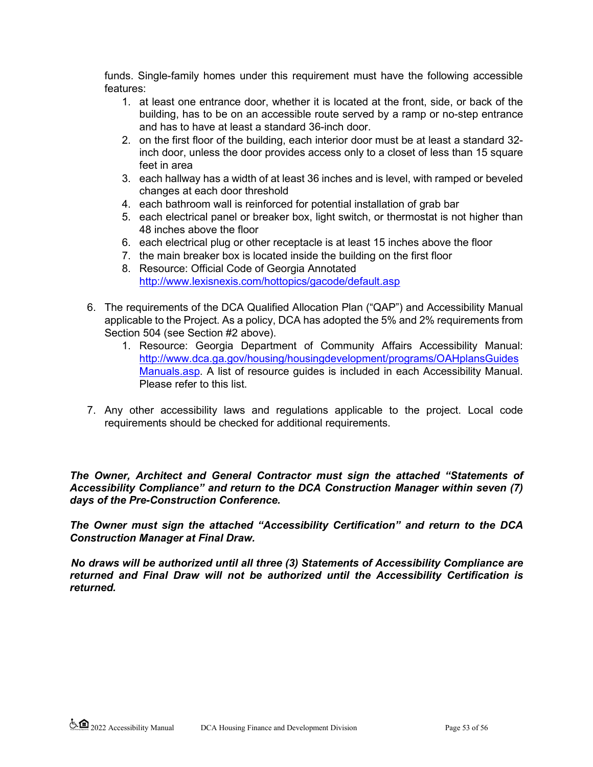funds. Single-family homes under this requirement must have the following accessible features:

- 1. at least one entrance door, whether it is located at the front, side, or back of the building, has to be on an accessible route served by a ramp or no-step entrance and has to have at least a standard 36-inch door.
- 2. on the first floor of the building, each interior door must be at least a standard 32 inch door, unless the door provides access only to a closet of less than 15 square feet in area
- 3. each hallway has a width of at least 36 inches and is level, with ramped or beveled changes at each door threshold
- 4. each bathroom wall is reinforced for potential installation of grab bar
- 5. each electrical panel or breaker box, light switch, or thermostat is not higher than 48 inches above the floor
- 6. each electrical plug or other receptacle is at least 15 inches above the floor
- 7. the main breaker box is located inside the building on the first floor
- 8. Resource: Official Code of Georgia Annotated <http://www.lexisnexis.com/hottopics/gacode/default.asp>
- 6. The requirements of the DCA Qualified Allocation Plan ("QAP") and Accessibility Manual applicable to the Project. As a policy, DCA has adopted the 5% and 2% requirements from Section 504 (see Section #2 above).
	- 1. Resource: Georgia Department of Community Affairs Accessibility Manual: [http://www.dca.ga.gov/housing/housingdevelopment/programs/OAHplansGuides](http://www.dca.ga.gov/housing/housingdevelopment/programs/OAHplansGuidesManuals.asp) [Manuals.asp](http://www.dca.ga.gov/housing/housingdevelopment/programs/OAHplansGuidesManuals.asp)[.](http://www.dca.ga.gov/) A list of resource guides is included in each Accessibility Manual. Please refer to this list.
- 7. Any other accessibility laws and regulations applicable to the project. Local code requirements should be checked for additional requirements.

*The Owner, Architect and General Contractor must sign the attached "Statements of Accessibility Compliance" and return to the DCA Construction Manager within seven (7) days of the Pre-Construction Conference.* 

*The Owner must sign the attached "Accessibility Certification" and return to the DCA Construction Manager at Final Draw.* 

*No draws will be authorized until all three (3) Statements of Accessibility Compliance are returned and Final Draw will not be authorized until the Accessibility Certification is returned.*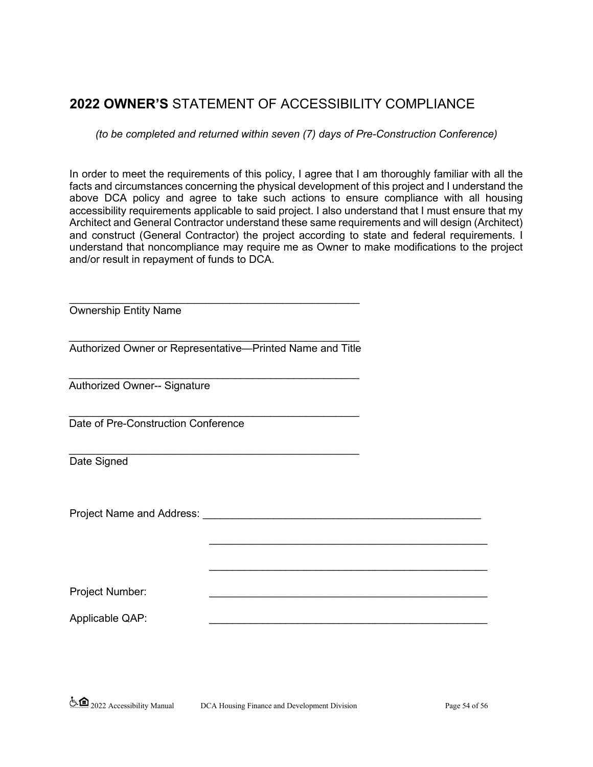# **2022 OWNER'S** STATEMENT OF ACCESSIBILITY COMPLIANCE

*(to be completed and returned within seven (7) days of Pre-Construction Conference)* 

In order to meet the requirements of this policy, I agree that I am thoroughly familiar with all the facts and circumstances concerning the physical development of this project and I understand the above DCA policy and agree to take such actions to ensure compliance with all housing accessibility requirements applicable to said project. I also understand that I must ensure that my Architect and General Contractor understand these same requirements and will design (Architect) and construct (General Contractor) the project according to state and federal requirements. I understand that noncompliance may require me as Owner to make modifications to the project and/or result in repayment of funds to DCA.

\_\_\_\_\_\_\_\_\_\_\_\_\_\_\_\_\_\_\_\_\_\_\_\_\_\_\_\_\_\_\_\_\_\_\_\_\_\_\_\_\_\_\_\_\_\_\_

\_\_\_\_\_\_\_\_\_\_\_\_\_\_\_\_\_\_\_\_\_\_\_\_\_\_\_\_\_\_\_\_\_\_\_\_\_\_\_\_\_\_\_\_\_\_\_

Ownership Entity Name

\_\_\_\_\_\_\_\_\_\_\_\_\_\_\_\_\_\_\_\_\_\_\_\_\_\_\_\_\_\_\_\_\_\_\_\_\_\_\_\_\_\_\_\_\_\_\_\_\_ Authorized Owner or Representative—Printed Name and Title

\_\_\_\_\_\_\_\_\_\_\_\_\_\_\_\_\_\_\_\_\_\_\_\_\_\_\_\_\_\_\_\_\_\_\_\_\_\_\_\_\_\_\_\_\_\_\_\_\_

\_\_\_\_\_\_\_\_\_\_\_\_\_\_\_\_\_\_\_\_\_\_\_\_\_\_\_\_\_\_\_\_\_\_\_\_\_\_\_\_\_\_\_\_\_\_\_\_\_ Authorized Owner-- Signature

\_\_\_\_\_\_\_\_\_\_\_\_\_\_\_\_\_\_\_\_\_\_\_\_\_\_\_\_\_\_\_\_\_\_\_\_\_\_\_\_\_\_\_\_\_\_\_\_\_ Date of Pre-Construction Conference

\_\_\_\_\_\_\_\_\_\_\_\_\_\_\_\_\_\_\_\_\_\_\_\_\_\_\_\_\_\_\_\_\_\_\_\_\_\_\_\_\_\_\_\_\_\_\_\_\_ Date Signed

Project Name and Address: \_\_\_\_\_\_\_\_\_\_\_\_\_\_\_\_\_\_\_\_\_\_\_\_\_\_\_\_\_\_\_\_\_\_\_\_\_\_\_\_\_\_\_\_\_\_\_

Project Number:

Applicable QAP: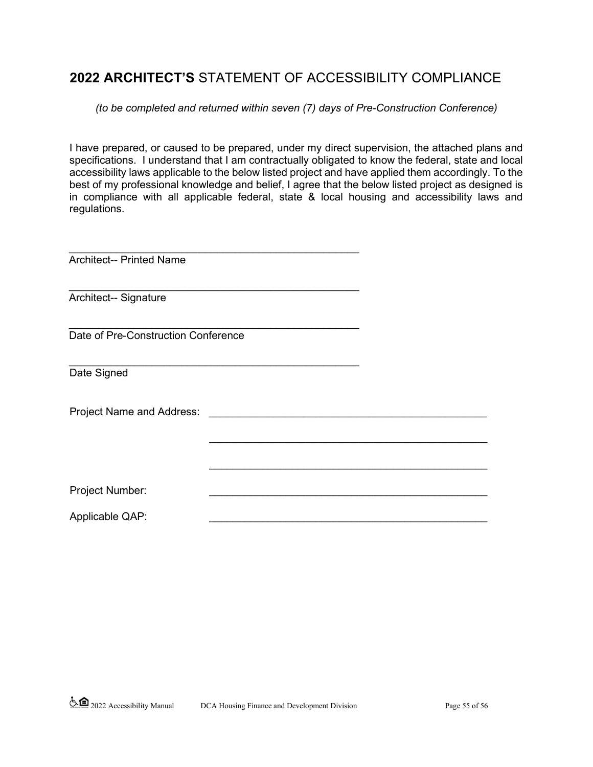# **2022 ARCHITECT'S** STATEMENT OF ACCESSIBILITY COMPLIANCE

#### *(to be completed and returned within seven (7) days of Pre-Construction Conference)*

I have prepared, or caused to be prepared, under my direct supervision, the attached plans and specifications. I understand that I am contractually obligated to know the federal, state and local accessibility laws applicable to the below listed project and have applied them accordingly. To the best of my professional knowledge and belief, I agree that the below listed project as designed is in compliance with all applicable federal, state & local housing and accessibility laws and regulations.

| <b>Architect-- Printed Name</b>     |  |
|-------------------------------------|--|
|                                     |  |
| Architect-- Signature               |  |
|                                     |  |
| Date of Pre-Construction Conference |  |
|                                     |  |
| Date Signed                         |  |
|                                     |  |
| Project Name and Address: ______    |  |
|                                     |  |
|                                     |  |
|                                     |  |
| Project Number:                     |  |
| Applicable QAP:                     |  |